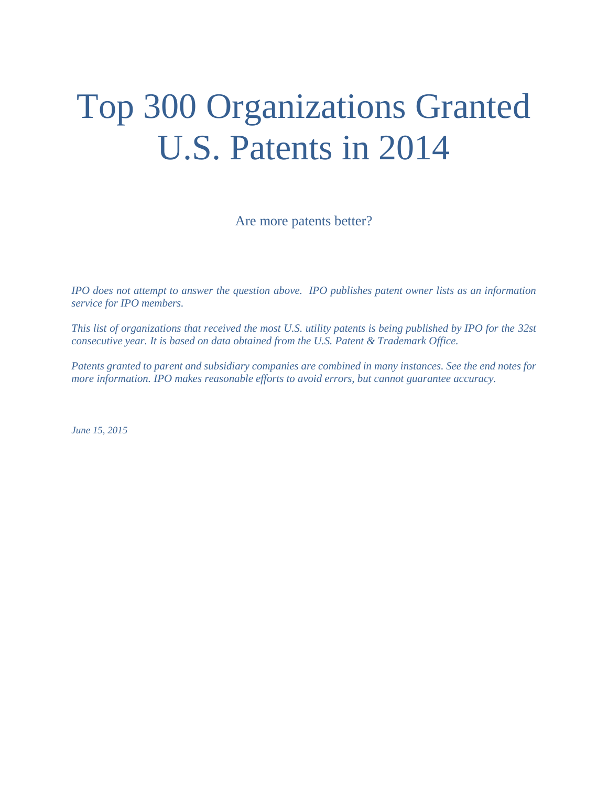# Top 300 Organizations Granted U.S. Patents in 2014

Are more patents better?

*IPO does not attempt to answer the question above. IPO publishes patent owner lists as an information service for IPO members.* 

*This list of organizations that received the most U.S. utility patents is being published by IPO for the 32st consecutive year. It is based on data obtained from the U.S. Patent & Trademark Office.* 

*Patents granted to parent and subsidiary companies are combined in many instances. See the end notes for more information. IPO makes reasonable efforts to avoid errors, but cannot guarantee accuracy.* 

*June 15, 2015*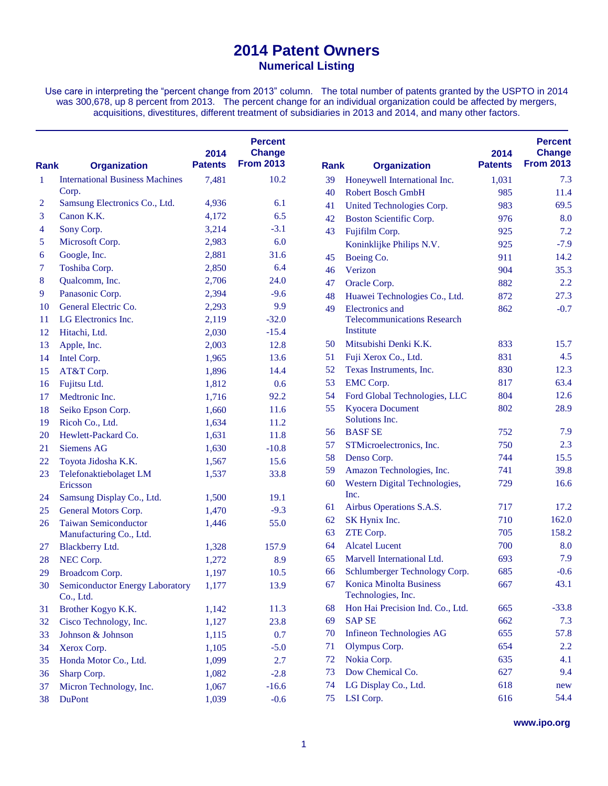Use care in interpreting the "percent change from 2013" column. The total number of patents granted by the USPTO in 2014 was 300,678, up 8 percent from 2013. The percent change for an individual organization could be affected by mergers, acquisitions, divestitures, different treatment of subsidiaries in 2013 and 2014, and many other factors.

| <b>Rank</b>  | <b>Organization</b>                                 | 2014<br><b>Patents</b> | <b>Percent</b><br><b>Change</b><br><b>From 2013</b> | <b>Rank</b> | <b>Organization</b>                           | 2014<br><b>Patents</b> | <b>Percent</b><br><b>Change</b><br><b>From 2013</b> |
|--------------|-----------------------------------------------------|------------------------|-----------------------------------------------------|-------------|-----------------------------------------------|------------------------|-----------------------------------------------------|
| $\mathbf{1}$ | <b>International Business Machines</b>              | 7,481                  | 10.2                                                | 39          | Honeywell International Inc.                  | 1,031                  | 7.3                                                 |
|              | Corp.                                               |                        |                                                     | 40          | <b>Robert Bosch GmbH</b>                      | 985                    | 11.4                                                |
| 2            | Samsung Electronics Co., Ltd.                       | 4,936                  | 6.1                                                 | 41          | United Technologies Corp.                     | 983                    | 69.5                                                |
| 3            | Canon K.K.                                          | 4,172                  | 6.5                                                 | 42          | Boston Scientific Corp.                       | 976                    | 8.0                                                 |
| 4            | Sony Corp.                                          | 3,214                  | $-3.1$                                              | 43          | Fujifilm Corp.                                | 925                    | 7.2                                                 |
| 5            | Microsoft Corp.                                     | 2,983                  | 6.0                                                 |             | Koninklijke Philips N.V.                      | 925                    | $-7.9$                                              |
| 6            | Google, Inc.                                        | 2,881                  | 31.6                                                | 45          | Boeing Co.                                    | 911                    | 14.2                                                |
| 7            | Toshiba Corp.                                       | 2,850                  | 6.4                                                 | 46          | Verizon                                       | 904                    | 35.3                                                |
| 8            | Qualcomm, Inc.                                      | 2,706                  | 24.0                                                | 47          | Oracle Corp.                                  | 882                    | 2.2                                                 |
| 9            | Panasonic Corp.                                     | 2,394                  | $-9.6$                                              | 48          | Huawei Technologies Co., Ltd.                 | 872                    | 27.3                                                |
| <b>10</b>    | General Electric Co.                                | 2,293                  | 9.9                                                 | 49          | Electronics and                               | 862                    | $-0.7$                                              |
| 11           | LG Electronics Inc.                                 | 2,119                  | $-32.0$                                             |             | <b>Telecommunications Research</b>            |                        |                                                     |
| 12           | Hitachi, Ltd.                                       | 2,030                  | $-15.4$                                             |             | Institute                                     |                        |                                                     |
| 13           | Apple, Inc.                                         | 2,003                  | 12.8                                                | 50          | Mitsubishi Denki K.K.                         | 833                    | 15.7                                                |
| 14           | Intel Corp.                                         | 1,965                  | 13.6                                                | 51          | Fuji Xerox Co., Ltd.                          | 831                    | 4.5                                                 |
| 15           | AT&T Corp.                                          | 1,896                  | 14.4                                                | 52          | Texas Instruments, Inc.                       | 830                    | 12.3                                                |
| 16           | Fujitsu Ltd.                                        | 1,812                  | 0.6                                                 | 53          | <b>EMC</b> Corp.                              | 817                    | 63.4                                                |
| 17           | Medtronic Inc.                                      | 1,716                  | 92.2                                                | 54          | Ford Global Technologies, LLC                 | 804                    | 12.6                                                |
| 18           | Seiko Epson Corp.                                   | 1,660                  | 11.6                                                | 55          | <b>Kyocera Document</b>                       | 802                    | 28.9                                                |
| 19           | Ricoh Co., Ltd.                                     | 1,634                  | 11.2                                                |             | Solutions Inc.                                |                        |                                                     |
| 20           | Hewlett-Packard Co.                                 | 1,631                  | 11.8                                                | 56          | <b>BASFSE</b>                                 | 752                    | 7.9                                                 |
| 21           | <b>Siemens AG</b>                                   | 1,630                  | $-10.8$                                             | 57          | STMicroelectronics, Inc.                      | 750                    | 2.3                                                 |
| 22           | Toyota Jidosha K.K.                                 | 1,567                  | 15.6                                                | 58          | Denso Corp.                                   | 744                    | 15.5                                                |
| 23           | Telefonaktiebolaget LM                              | 1,537                  | 33.8                                                | 59          | Amazon Technologies, Inc.                     | 741                    | 39.8                                                |
|              | Ericsson                                            |                        |                                                     | 60          | Western Digital Technologies,                 | 729                    | 16.6                                                |
| 24           | Samsung Display Co., Ltd.                           | 1,500                  | 19.1                                                |             | Inc.                                          |                        |                                                     |
| 25           | General Motors Corp.                                | 1,470                  | $-9.3$                                              | 61          | Airbus Operations S.A.S.                      | 717                    | 17.2                                                |
| 26           | <b>Taiwan Semiconductor</b>                         | 1,446                  | 55.0                                                | 62          | SK Hynix Inc.                                 | 710                    | 162.0                                               |
|              | Manufacturing Co., Ltd.                             |                        |                                                     | 63          | ZTE Corp.                                     | 705                    | 158.2                                               |
| 27           | <b>Blackberry Ltd.</b>                              | 1,328                  | 157.9                                               | 64          | <b>Alcatel Lucent</b>                         | 700                    | 8.0                                                 |
| 28           | NEC Corp.                                           | 1,272                  | 8.9                                                 | 65          | Marvell International Ltd.                    | 693                    | 7.9                                                 |
| 29           | <b>Broadcom Corp.</b>                               | 1,197                  | 10.5                                                | 66          | Schlumberger Technology Corp.                 | 685                    | $-0.6$                                              |
| 30           | <b>Semiconductor Energy Laboratory</b><br>Co., Ltd. | 1,177                  | 13.9                                                | 67          | Konica Minolta Business<br>Technologies, Inc. | 667                    | 43.1                                                |
| 31           | Brother Kogyo K.K.                                  | 1,142                  | 11.3                                                | 68          | Hon Hai Precision Ind. Co., Ltd.              | 665                    | $-33.8$                                             |
| 32           | Cisco Technology, Inc.                              | 1,127                  | 23.8                                                | 69          | <b>SAP SE</b>                                 | 662                    | 7.3                                                 |
| 33           | Johnson & Johnson                                   | 1,115                  | 0.7                                                 | 70          | <b>Infineon Technologies AG</b>               | 655                    | 57.8                                                |
| 34           | Xerox Corp.                                         | 1,105                  | $-5.0$                                              | 71          | Olympus Corp.                                 | 654                    | 2.2                                                 |
| 35           | Honda Motor Co., Ltd.                               | 1,099                  | 2.7                                                 | 72          | Nokia Corp.                                   | 635                    | 4.1                                                 |
| 36           | Sharp Corp.                                         | 1,082                  | $-2.8$                                              | 73          | Dow Chemical Co.                              | 627                    | 9.4                                                 |
| 37           | Micron Technology, Inc.                             | 1,067                  | $-16.6$                                             | 74          | LG Display Co., Ltd.                          | 618                    | new                                                 |
| 38           | <b>DuPont</b>                                       | 1,039                  | $-0.6$                                              | 75          | LSI Corp.                                     | 616                    | 54.4                                                |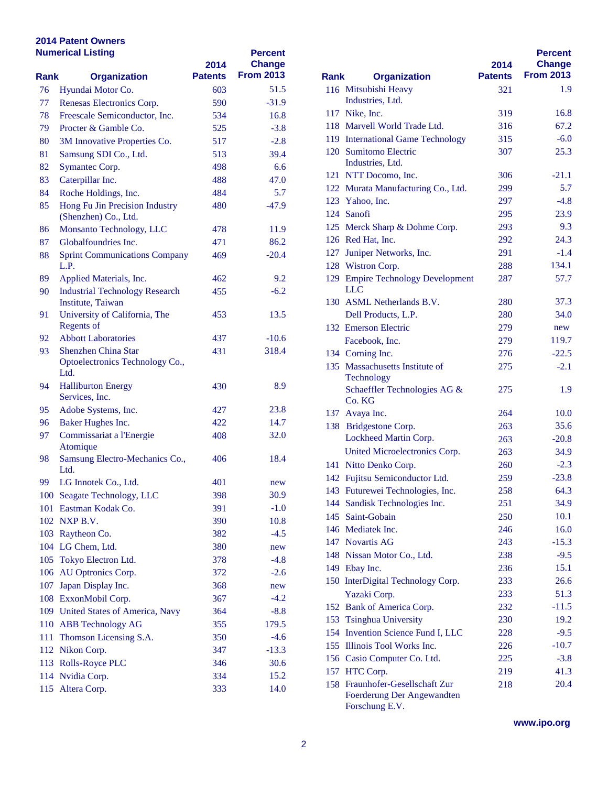|      | <b>Numerical Listing</b>                               | 2014           | <b>Percent</b><br><b>Change</b> |      |                                                 |
|------|--------------------------------------------------------|----------------|---------------------------------|------|-------------------------------------------------|
| Rank | <b>Organization</b>                                    | <b>Patents</b> | <b>From 2013</b>                | Rank | <b>Organization</b>                             |
| 76   | Hyundai Motor Co.                                      | 603            | 51.5                            |      | 116 Mitsubishi Heavy                            |
| 77   | Renesas Electronics Corp.                              | 590            | $-31.9$                         |      | Industries, Ltd.                                |
| 78   | Freescale Semiconductor, Inc.                          | 534            | 16.8                            |      | 117 Nike, Inc.                                  |
| 79   | Procter & Gamble Co.                                   | 525            | $-3.8$                          |      | 118 Marvell World Trade I                       |
| 80   | 3M Innovative Properties Co.                           | 517            | $-2.8$                          |      | 119 International Game Te                       |
| 81   | Samsung SDI Co., Ltd.                                  | 513            | 39.4                            |      | 120 Sumitomo Electric<br>Industries, Ltd.       |
| 82   | Symantec Corp.                                         | 498            | 6.6                             |      | 121 NTT Docomo, Inc.                            |
| 83   | Caterpillar Inc.                                       | 488            | 47.0                            |      | 122 Murata Manufacturing                        |
| 84   | Roche Holdings, Inc.                                   | 484            | 5.7                             |      | 123 Yahoo, Inc.                                 |
| 85   | Hong Fu Jin Precision Industry<br>(Shenzhen) Co., Ltd. | 480            | $-47.9$                         |      | 124 Sanofi                                      |
| 86   | Monsanto Technology, LLC                               | 478            | 11.9                            |      | 125 Merck Sharp & Dohm                          |
| 87   | Globalfoundries Inc.                                   | 471            | 86.2                            |      | 126 Red Hat, Inc.                               |
| 88   | <b>Sprint Communications Company</b><br>L.P.           | 469            | $-20.4$                         |      | 127 Juniper Networks, Inc.<br>128 Wistron Corp. |
| 89   | Applied Materials, Inc.                                | 462            | 9.2                             |      | 129 Empire Technology De                        |
| 90   | <b>Industrial Technology Research</b>                  | 455            | $-6.2$                          |      | <b>LLC</b>                                      |
|      | Institute, Taiwan                                      |                |                                 |      | 130 ASML Netherlands B.                         |
| 91   | University of California, The                          | 453            | 13.5                            |      | Dell Products, L.P.                             |
|      | <b>Regents of</b>                                      |                |                                 |      | 132 Emerson Electric                            |
| 92   | <b>Abbott Laboratories</b>                             | 437            | $-10.6$                         |      | Facebook, Inc.                                  |
| 93   | Shenzhen China Star                                    | 431            | 318.4                           |      | 134 Corning Inc.                                |
|      | Optoelectronics Technology Co.,<br>Ltd.                |                |                                 |      | 135 Massachusetts Institute<br>Technology       |
| 94   | <b>Halliburton Energy</b><br>Services, Inc.            | 430            | 8.9                             |      | Schaeffler Technologie<br>Co. KG                |
| 95   | Adobe Systems, Inc.                                    | 427            | 23.8                            |      | 137 Avaya Inc.                                  |
| 96   | Baker Hughes Inc.                                      | 422            | 14.7                            |      | 138 Bridgestone Corp.                           |
| 97   | Commissariat a l'Energie                               | 408            | 32.0                            |      | <b>Lockheed Martin Corp</b>                     |
|      | Atomique                                               |                |                                 |      | <b>United Microelectronic</b>                   |
| 98   | Samsung Electro-Mechanics Co.,                         | 406            | 18.4                            |      | 141 Nitto Denko Corp.                           |
|      | Ltd.                                                   |                |                                 |      | 142 Fujitsu Semiconductor                       |
| 99   | LG Innotek Co., Ltd.                                   | 401            | new                             |      | 143 Futurewei Technologie                       |
|      | 100 Seagate Technology, LLC                            | 398            | 30.9                            |      | 144 Sandisk Technologies                        |
|      | 101 Eastman Kodak Co.                                  | 391            | $-1.0$                          |      | 145 Saint-Gobain                                |
|      | 102 NXP B.V.                                           | 390            | 10.8                            |      | 146 Mediatek Inc.                               |
|      | 103 Raytheon Co.                                       | 382            | $-4.5$                          |      | 147 Novartis AG                                 |
|      | 104 LG Chem, Ltd.                                      | 380            | new                             |      | 148 Nissan Motor Co., Ltd                       |
|      | 105 Tokyo Electron Ltd.                                | 378            | $-4.8$                          |      | 149 Ebay Inc.                                   |
|      | 106 AU Optronics Corp.                                 | 372            | $-2.6$                          |      | 150 InterDigital Technolog                      |
|      | 107 Japan Display Inc.                                 | 368            | new                             |      | Yazaki Corp.                                    |
|      | 108 ExxonMobil Corp.                                   | 367            | $-4.2$                          |      | 152 Bank of America Corp                        |
|      | 109 United States of America, Navy                     | 364            | $-8.8$                          |      | 153 Tsinghua University                         |
|      | 110 ABB Technology AG                                  | 355            | 179.5                           |      | 154 Invention Science Fun                       |
|      | 111 Thomson Licensing S.A.                             | 350            | $-4.6$                          |      | 155 Illinois Tool Works In                      |
|      | 112 Nikon Corp.                                        | 347            | $-13.3$                         |      |                                                 |
|      | 113 Rolls-Royce PLC                                    | 346            | 30.6                            |      | 156 Casio Computer Co. L                        |
|      | 114 Nvidia Corp.                                       | 334            | 15.2                            |      | 157 HTC Corp.<br>158 Fraunhofer-Gesellscha      |
|      | 115 Altera Corp.                                       | 333            | 14.0                            |      | Foerderung Der Angey                            |

|      |                                                                                 |                | <b>Percent</b>   |
|------|---------------------------------------------------------------------------------|----------------|------------------|
|      |                                                                                 | 2014           | <b>Change</b>    |
| Rank | <b>Organization</b>                                                             | <b>Patents</b> | <b>From 2013</b> |
|      | 116 Mitsubishi Heavy                                                            | 321            | 1.9              |
|      | Industries, Ltd.                                                                |                |                  |
|      | 117 Nike, Inc.                                                                  | 319            | 16.8             |
|      | 118 Marvell World Trade Ltd.                                                    | 316            | 67.2             |
|      | 119 International Game Technology                                               | 315            | $-6.0$           |
|      | 120 Sumitomo Electric<br>Industries, Ltd.                                       | 307            | 25.3             |
|      | 121 NTT Docomo, Inc.                                                            | 306            | $-21.1$          |
|      | 122 Murata Manufacturing Co., Ltd.                                              | 299            | 5.7              |
|      | 123 Yahoo, Inc.                                                                 | 297            | $-4.8$           |
|      | 124 Sanofi                                                                      | 295            | 23.9             |
|      | 125 Merck Sharp & Dohme Corp.                                                   | 293            | 9.3              |
|      | 126 Red Hat, Inc.                                                               | 292            | 24.3             |
| 127  | Juniper Networks, Inc.                                                          | 291            | $-1.4$           |
|      | 128 Wistron Corp.                                                               | 288            | 134.1            |
|      | 129 Empire Technology Development<br><b>LLC</b>                                 | 287            | 57.7             |
|      | 130 ASML Netherlands B.V.                                                       | 280            | 37.3             |
|      | Dell Products, L.P.                                                             | 280            | 34.0             |
|      | 132 Emerson Electric                                                            | 279            | new              |
|      | Facebook, Inc.                                                                  | 279            | 119.7            |
|      | 134 Corning Inc.                                                                | 276            | $-22.5$          |
| 135  | Massachusetts Institute of                                                      | 275            | $-2.1$           |
|      | Technology                                                                      |                |                  |
|      | Schaeffler Technologies AG &<br>Co. KG                                          | 275            | 1.9              |
|      | 137 Avaya Inc.                                                                  | 264            | 10.0             |
|      | 138 Bridgestone Corp.                                                           | 263            | 35.6             |
|      | Lockheed Martin Corp.                                                           | 263            | $-20.8$          |
|      | United Microelectronics Corp.                                                   | 263            | 34.9             |
|      | 141 Nitto Denko Corp.                                                           | 260            | $-2.3$           |
|      | 142 Fujitsu Semiconductor Ltd.                                                  | 259            | $-23.8$          |
|      | 143 Futurewei Technologies, Inc.                                                | 258            | 64.3             |
|      | 144 Sandisk Technologies Inc.                                                   | 251            | 34.9             |
|      | 145 Saint-Gobain                                                                | 250            | 10.1             |
|      | 146 Mediatek Inc.                                                               | 246            | 16.0             |
|      | 147 Novartis AG                                                                 | 243            | $-15.3$          |
|      | 148 Nissan Motor Co., Ltd.                                                      | 238            | $-9.5$           |
|      | 149 Ebay Inc.                                                                   | 236            | 15.1             |
|      | 150 InterDigital Technology Corp.                                               | 233            | 26.6             |
|      | Yazaki Corp.                                                                    | 233            | 51.3             |
|      | 152 Bank of America Corp.                                                       | 232            | $-11.5$          |
|      | 153 Tsinghua University                                                         | 230            | 19.2             |
|      | 154 Invention Science Fund I, LLC                                               | 228            | $-9.5$           |
|      | 155 Illinois Tool Works Inc.                                                    | 226            | $-10.7$          |
|      | 156 Casio Computer Co. Ltd.                                                     | 225            | $-3.8$           |
|      | 157 HTC Corp.                                                                   | 219            | 41.3             |
|      | 158 Fraunhofer-Gesellschaft Zur<br>Foerderung Der Angewandten<br>Forschung E.V. | 218            | 20.4             |

**www.ipo.org**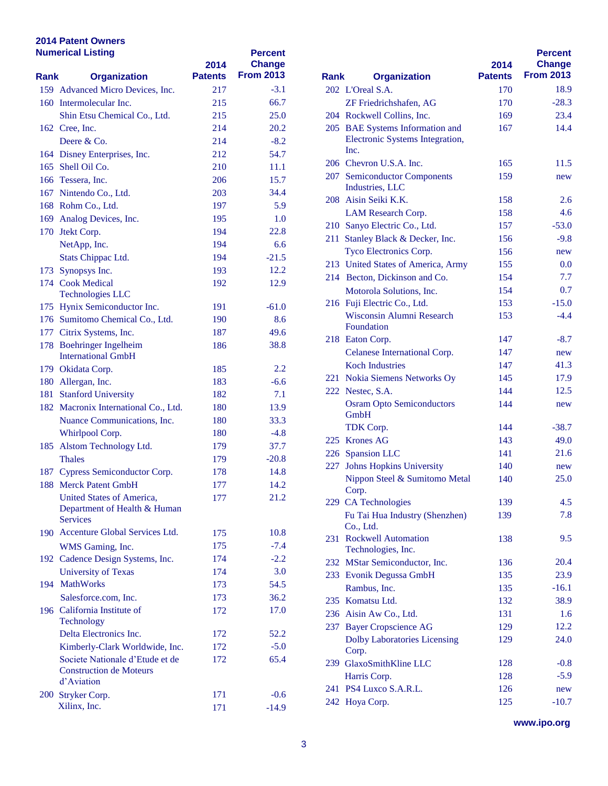|      | <b>Numerical Listing</b>             | 2014           | <b>Percent</b><br><b>Change</b> |             |                                         |
|------|--------------------------------------|----------------|---------------------------------|-------------|-----------------------------------------|
| Rank | <b>Organization</b>                  | <b>Patents</b> | <b>From 2013</b>                | <b>Rank</b> | <b>Organization</b>                     |
|      | 159 Advanced Micro Devices, Inc.     | 217            | $-3.1$                          |             | 202 L'Oreal S.A.                        |
|      | 160 Intermolecular Inc.              | 215            | 66.7                            |             | ZF Friedrichshafen, A                   |
|      | Shin Etsu Chemical Co., Ltd.         | 215            | 25.0                            |             | 204 Rockwell Collins, Inc.              |
|      | 162 Cree, Inc.                       | 214            | 20.2                            |             | 205 BAE Systems Informa                 |
|      | Deere $&Co.$                         | 214            | $-8.2$                          |             | <b>Electronic Systems Int</b>           |
|      | 164 Disney Enterprises, Inc.         | 212            | 54.7                            |             | Inc.                                    |
|      | 165 Shell Oil Co.                    | 210            | 11.1                            |             | 206 Chevron U.S.A. Inc.                 |
|      | 166 Tessera, Inc.                    | 206            | 15.7                            |             | 207 Semiconductor Compo                 |
|      | 167 Nintendo Co., Ltd.               | 203            | 34.4                            |             | Industries, LLC<br>208 Aisin Seiki K.K. |
|      | 168 Rohm Co., Ltd.                   | 197            | 5.9                             |             |                                         |
|      | 169 Analog Devices, Inc.             | 195            | 1.0                             |             | LAM Research Corp.                      |
|      | 170 Jtekt Corp.                      | 194            | 22.8                            |             | 210 Sanyo Electric Co., Ltd             |
|      | NetApp, Inc.                         | 194            | 6.6                             |             | 211 Stanley Black & Deck                |
|      | Stats Chippac Ltd.                   | 194            | $-21.5$                         |             | <b>Tyco Electronics Corp</b>            |
|      | 173 Synopsys Inc.                    | 193            | 12.2                            |             | 213 United States of Amer               |
|      | 174 Cook Medical                     | 192            | 12.9                            |             | 214 Becton, Dickinson and               |
|      | <b>Technologies LLC</b>              |                |                                 |             | Motorola Solutions, In                  |
|      | 175 Hynix Semiconductor Inc.         | 191            | $-61.0$                         |             | 216 Fuji Electric Co., Ltd.             |
|      | 176 Sumitomo Chemical Co., Ltd.      | 190            | 8.6                             |             | Wisconsin Alumni Re:                    |
|      | 177 Citrix Systems, Inc.             | 187            | 49.6                            |             | Foundation                              |
|      | 178 Boehringer Ingelheim             | 186            | 38.8                            |             | 218 Eaton Corp.                         |
|      | <b>International GmbH</b>            |                |                                 |             | <b>Celanese International</b>           |
|      | 179 Okidata Corp.                    | 185            | 2.2                             |             | <b>Koch Industries</b>                  |
|      | 180 Allergan, Inc.                   | 183            | $-6.6$                          |             | 221 Nokia Siemens Netwo                 |
|      | 181 Stanford University              | 182            | 7.1                             |             | 222 Nestec, S.A.                        |
|      | 182 Macronix International Co., Ltd. | 180            | 13.9                            |             | <b>Osram Opto Semicond</b>              |
|      | Nuance Communications, Inc.          | 180            | 33.3                            |             | GmbH                                    |
|      | Whirlpool Corp.                      | 180            | $-4.8$                          |             | TDK Corp.                               |
|      | 185 Alstom Technology Ltd.           | 179            | 37.7                            |             | 225 Krones AG                           |
|      | <b>Thales</b>                        | 179            | $-20.8$                         |             | 226 Spansion LLC                        |
|      | 187 Cypress Semiconductor Corp.      | 178            | 14.8                            |             | 227 Johns Hopkins Univer                |
|      | 188 Merck Patent GmbH                | 177            | 14.2                            |             | Nippon Steel & Sumit                    |
|      | United States of America,            | 177            | 21.2                            |             | Corp.                                   |
|      | Department of Health & Human         |                |                                 |             | 229 CA Technologies                     |
|      | <b>Services</b>                      |                |                                 |             | Fu Tai Hua Industry (S                  |
|      | 190 Accenture Global Services Ltd.   | 175            | 10.8                            |             | Co., Ltd.                               |
|      | WMS Gaming, Inc.                     | 175            | $-7.4$                          |             | 231 Rockwell Automation                 |
|      | 192 Cadence Design Systems, Inc.     | 174            | $-2.2$                          |             | Technologies, Inc.                      |
|      | <b>University of Texas</b>           | 174            | 3.0                             |             | 232 MStar Semiconductor,                |
|      | 194 MathWorks                        | 173            | 54.5                            |             | 233 Evonik Degussa GmbI                 |
|      | Salesforce.com, Inc.                 | 173            | 36.2                            |             | Rambus, Inc.                            |
|      | 196 California Institute of          | 172            | 17.0                            |             | 235 Komatsu Ltd.                        |
|      | Technology                           |                |                                 |             | 236 Aisin Aw Co., Ltd.                  |
|      | Delta Electronics Inc.               | 172            | 52.2                            |             | 237 Bayer Cropscience AC                |
|      | Kimberly-Clark Worldwide, Inc.       | 172            | $-5.0$                          |             | Dolby Laboratories Li                   |
|      | Societe Nationale d'Etude et de      | 172            | 65.4                            |             | Corp.                                   |
|      | <b>Construction de Moteurs</b>       |                |                                 |             | 239 GlaxoSmithKline LLC                 |
|      | d'Aviation                           |                |                                 |             | Harris Corp.                            |
|      | 200 Stryker Corp.                    | 171            | $-0.6$                          |             | 241 PS4 Luxco S.A.R.L.                  |
|      | Xilinx, Inc.                         | 171            | $-14.9$                         |             | 242 Hoya Corp.                          |

| Rank | <b>Organization</b>                             | 2014<br><b>Patents</b> | <b>Percent</b><br><b>Change</b><br><b>From 2013</b> |
|------|-------------------------------------------------|------------------------|-----------------------------------------------------|
|      | 202 L'Oreal S.A.                                | 170                    | 18.9                                                |
|      | ZF Friedrichshafen, AG                          | 170                    | $-28.3$                                             |
|      | 204 Rockwell Collins, Inc.                      | 169                    | 23.4                                                |
|      | 205 BAE Systems Information and                 | 167                    | 14.4                                                |
|      | Electronic Systems Integration,<br>Inc.         |                        |                                                     |
|      | 206 Chevron U.S.A. Inc.                         | 165                    | 11.5                                                |
|      | 207 Semiconductor Components<br>Industries, LLC | 159                    | new                                                 |
|      | 208 Aisin Seiki K.K.                            | 158                    | 2.6                                                 |
|      | LAM Research Corp.                              | 158                    | 4.6                                                 |
|      | 210 Sanyo Electric Co., Ltd.                    | 157                    | $-53.0$                                             |
| 211  | Stanley Black & Decker, Inc.                    | 156                    | $-9.8$                                              |
|      | Tyco Electronics Corp.                          | 156                    | new                                                 |
|      | 213 United States of America, Army              | 155                    | 0.0                                                 |
|      | 214 Becton, Dickinson and Co.                   | 154                    | 7.7                                                 |
|      | Motorola Solutions, Inc.                        | 154                    | 0.7                                                 |
|      | 216 Fuji Electric Co., Ltd.                     | 153                    | $-15.0$                                             |
|      | Wisconsin Alumni Research<br>Foundation         | 153                    | $-4.4$                                              |
|      | 218 Eaton Corp.                                 | 147                    | $-8.7$                                              |
|      | Celanese International Corp.                    | 147                    | new                                                 |
|      | <b>Koch Industries</b>                          | 147                    | 41.3                                                |
|      | 221 Nokia Siemens Networks Oy                   | 145                    | 17.9                                                |
|      | 222 Nestec, S.A.                                | 144                    | 12.5                                                |
|      | <b>Osram Opto Semiconductors</b><br>GmbH        | 144                    | new                                                 |
|      | TDK Corp.                                       | 144                    | $-38.7$                                             |
|      | 225 Krones AG                                   | 143                    | 49.0                                                |
|      | 226 Spansion LLC                                | 141                    | 21.6                                                |
| 227  | <b>Johns Hopkins University</b>                 | 140                    | new                                                 |
|      | Nippon Steel & Sumitomo Metal<br>Corp.          | 140                    | 25.0                                                |
|      | 229 CA Technologies                             | 139                    | 4.5                                                 |
|      | Fu Tai Hua Industry (Shenzhen)<br>Co., Ltd.     | 139                    | 7.8                                                 |
|      | 231 Rockwell Automation<br>Technologies, Inc.   | 138                    | 9.5                                                 |
|      | 232 MStar Semiconductor, Inc.                   | 136                    | 20.4                                                |
|      | 233 Evonik Degussa GmbH                         | 135                    | 23.9                                                |
|      | Rambus, Inc.                                    | 135                    | $-16.1$                                             |
|      | 235 Komatsu Ltd.                                | 132                    | 38.9                                                |
|      | 236 Aisin Aw Co., Ltd.                          | 131                    | 1.6                                                 |
|      | 237 Bayer Cropscience AG                        | 129                    | 12.2                                                |
|      | <b>Dolby Laboratories Licensing</b><br>Corp.    | 129                    | 24.0                                                |
|      | 239 GlaxoSmithKline LLC                         | 128                    | $-0.8$                                              |
|      | Harris Corp.                                    | 128                    | $-5.9$                                              |
| 241  | PS4 Luxco S.A.R.L.                              | 126                    | new                                                 |
| 242  | Hoya Corp.                                      | 125                    | $-10.7$                                             |

**www.ipo.org**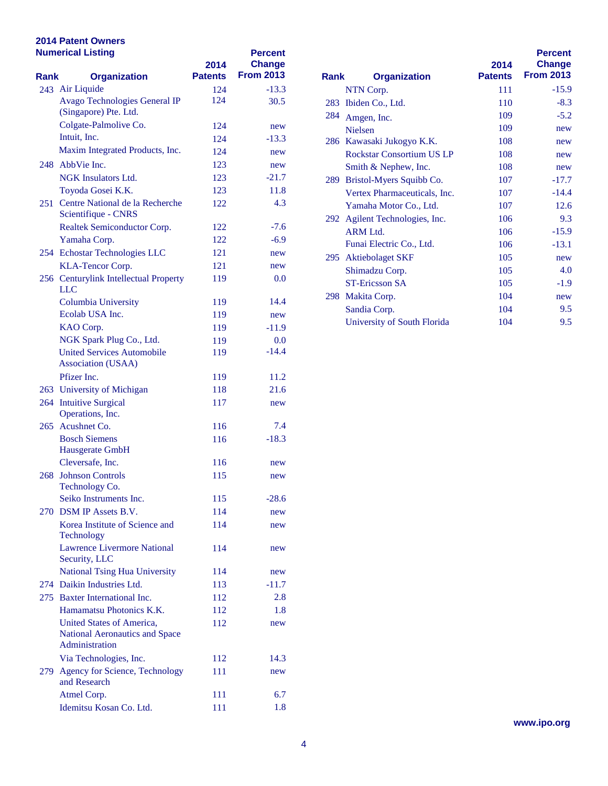|      | <b>Numerical Listing</b>                                | 2014<br><b>Patents</b> | <b>Percent</b><br><b>Change</b><br><b>From 2013</b> |             |                              |
|------|---------------------------------------------------------|------------------------|-----------------------------------------------------|-------------|------------------------------|
| Rank | <b>Organization</b>                                     |                        |                                                     | <b>Rank</b> | <b>Organization</b>          |
|      | 243 Air Liquide<br>Avago Technologies General IP        | 124<br>124             | $-13.3$<br>30.5                                     |             | NTN Corp.                    |
|      | (Singapore) Pte. Ltd.                                   |                        |                                                     |             | 283 Ibiden Co., Ltd.         |
|      | Colgate-Palmolive Co.                                   | 124                    | new                                                 | 284         | Amgen, Inc.                  |
|      | Intuit, Inc.                                            | 124                    | $-13.3$                                             |             | <b>Nielsen</b>               |
|      | Maxim Integrated Products, Inc.                         | 124                    | new                                                 |             | 286 Kawasaki Jukogyo K.l     |
|      | 248 AbbVie Inc.                                         | 123                    | new                                                 |             | <b>Rockstar Consortium I</b> |
|      | <b>NGK</b> Insulators Ltd.                              | 123                    | $-21.7$                                             |             | Smith & Nephew, Inc.         |
|      | Toyoda Gosei K.K.                                       | 123                    | 11.8                                                |             | 289 Bristol-Myers Squibb     |
|      | 251 Centre National de la Recherche                     | 122                    | 4.3                                                 |             | <b>Vertex Pharmaceutical</b> |
|      | Scientifique - CNRS                                     |                        |                                                     |             | Yamaha Motor Co., Lt         |
|      | Realtek Semiconductor Corp.                             | 122                    | $-7.6$                                              |             | 292 Agilent Technologies,    |
|      | Yamaha Corp.                                            | 122                    | $-6.9$                                              |             | ARM Ltd.                     |
|      | 254 Echostar Technologies LLC                           | 121                    | new                                                 |             | Funai Electric Co., Ltd      |
|      | KLA-Tencor Corp.                                        | 121                    | new                                                 |             | 295 Aktiebolaget SKF         |
|      | 256 Centurylink Intellectual Property                   | 119                    | 0.0                                                 |             | Shimadzu Corp.               |
|      | <b>LLC</b>                                              |                        |                                                     |             | <b>ST-Ericsson SA</b>        |
|      | Columbia University                                     | 119                    | 14.4                                                |             | 298 Makita Corp.             |
|      | Ecolab USA Inc.                                         | 119                    | new                                                 |             | Sandia Corp.                 |
|      | KAO Corp.                                               | 119                    | $-11.9$                                             |             | University of South Fl       |
|      | NGK Spark Plug Co., Ltd.                                | 119                    | 0.0                                                 |             |                              |
|      | <b>United Services Automobile</b>                       | 119                    | $-14.4$                                             |             |                              |
|      | Association (USAA)                                      |                        |                                                     |             |                              |
|      | Pfizer Inc.                                             | 119                    | 11.2                                                |             |                              |
|      | 263 University of Michigan                              | 118                    | 21.6                                                |             |                              |
|      | 264 Intuitive Surgical                                  | 117                    | new                                                 |             |                              |
|      | Operations, Inc.                                        |                        |                                                     |             |                              |
|      | 265 Acushnet Co.                                        | 116                    | 7.4                                                 |             |                              |
|      | <b>Bosch Siemens</b>                                    | 116                    | $-18.3$                                             |             |                              |
|      | Hausgerate GmbH                                         |                        |                                                     |             |                              |
|      | Cleversafe, Inc.                                        | 116                    | new                                                 |             |                              |
|      | 268 Johnson Controls                                    | 115                    | new                                                 |             |                              |
|      | Technology Co.                                          |                        |                                                     |             |                              |
|      | Seiko Instruments Inc.                                  | 115                    | $-28.6$                                             |             |                              |
|      | 270 DSM IP Assets B.V.                                  | 114                    | new                                                 |             |                              |
|      | Korea Institute of Science and                          | 114                    | new                                                 |             |                              |
|      | <b>Technology</b><br><b>Lawrence Livermore National</b> |                        |                                                     |             |                              |
|      | Security, LLC                                           | 114                    | new                                                 |             |                              |
|      | <b>National Tsing Hua University</b>                    | 114                    | new                                                 |             |                              |
|      | 274 Daikin Industries Ltd.                              | 113                    | $-11.7$                                             |             |                              |
|      | 275 Baxter International Inc.                           | 112                    | 2.8                                                 |             |                              |
|      | Hamamatsu Photonics K.K.                                | 112                    | 1.8                                                 |             |                              |
|      | United States of America,                               | 112                    |                                                     |             |                              |
|      | National Aeronautics and Space                          |                        | new                                                 |             |                              |
|      | Administration                                          |                        |                                                     |             |                              |
|      | Via Technologies, Inc.                                  | 112                    | 14.3                                                |             |                              |
|      | 279 Agency for Science, Technology                      | 111                    | new                                                 |             |                              |
|      | and Research                                            |                        |                                                     |             |                              |
|      | Atmel Corp.                                             | 111                    | 6.7                                                 |             |                              |
|      | Idemitsu Kosan Co. Ltd.                                 | 111                    | 1.8                                                 |             |                              |

| Rank | <b>Organization</b>              | 2014<br><b>Patents</b> | <b>Percent</b><br><b>Change</b><br><b>From 2013</b> |
|------|----------------------------------|------------------------|-----------------------------------------------------|
|      | NTN Corp.                        | 111                    | $-15.9$                                             |
| 283  | Ibiden Co., Ltd.                 | 110                    | $-8.3$                                              |
| 284  | Amgen, Inc.                      | 109                    | $-5.2$                                              |
|      | <b>Nielsen</b>                   | 109                    | new                                                 |
|      | 286 Kawasaki Jukogyo K.K.        | 108                    | new                                                 |
|      | <b>Rockstar Consortium US LP</b> | 108                    | new                                                 |
|      | Smith & Nephew, Inc.             | 108                    | new                                                 |
| 289. | Bristol-Myers Squibb Co.         | 107                    | $-17.7$                                             |
|      | Vertex Pharmaceuticals, Inc.     | 107                    | $-14.4$                                             |
|      | Yamaha Motor Co., Ltd.           | 107                    | 12.6                                                |
| 292  | Agilent Technologies, Inc.       | 106                    | 9.3                                                 |
|      | $ARM$ Ltd.                       | 106                    | $-15.9$                                             |
|      | Funai Electric Co., Ltd.         | 106                    | $-13.1$                                             |
| 295  | <b>Aktiebolaget SKF</b>          | 105                    | new                                                 |
|      | Shimadzu Corp.                   | 105                    | 4.0                                                 |
|      | <b>ST-Ericsson SA</b>            | 105                    | $-1.9$                                              |
| 298  | Makita Corp.                     | 104                    | new                                                 |
|      | Sandia Corp.                     | 104                    | 9.5                                                 |
|      | University of South Florida      | 104                    | 9.5                                                 |
|      |                                  |                        |                                                     |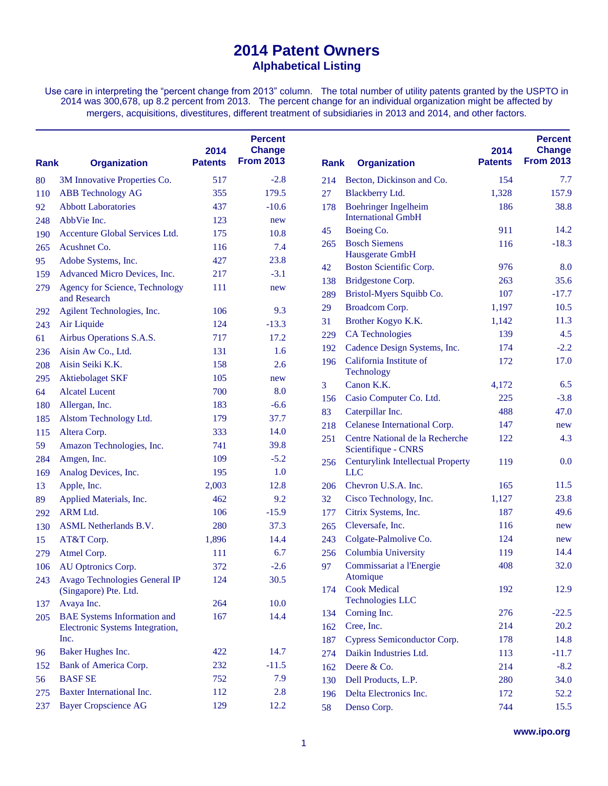## **2014 Patent Owners Alphabetical Listing**

Use care in interpreting the "percent change from 2013" column. The total number of utility patents granted by the USPTO in 2014 was 300,678, up 8.2 percent from 2013. The percent change for an individual organization might be affected by mergers, acquisitions, divestitures, different treatment of subsidiaries in 2013 and 2014, and other factors.

| Rank | <b>Organization</b>                     | 2014<br><b>Patents</b> | <b>Percent</b><br><b>Change</b><br><b>From 2013</b> | <b>Rank</b> | <b>Organization</b>                      | 2014<br><b>Patents</b> | <b>Percent</b><br><b>Change</b><br><b>From 2013</b> |
|------|-----------------------------------------|------------------------|-----------------------------------------------------|-------------|------------------------------------------|------------------------|-----------------------------------------------------|
| 80   | 3M Innovative Properties Co.            | 517                    | $-2.8$                                              | 214         | Becton, Dickinson and Co.                | 154                    | 7.7                                                 |
| 110  | <b>ABB</b> Technology AG                | 355                    | 179.5                                               | 27          | <b>Blackberry Ltd.</b>                   | 1,328                  | 157.9                                               |
| 92   | <b>Abbott Laboratories</b>              | 437                    | $-10.6$                                             | 178         | <b>Boehringer Ingelheim</b>              | 186                    | 38.8                                                |
| 248  | AbbVie Inc.                             | 123                    | new                                                 |             | <b>International GmbH</b>                |                        |                                                     |
| 190  | Accenture Global Services Ltd.          | 175                    | 10.8                                                | 45          | Boeing Co.                               | 911                    | 14.2                                                |
| 265  | Acushnet Co.                            | 116                    | 7.4                                                 | 265         | <b>Bosch Siemens</b>                     | 116                    | $-18.3$                                             |
| 95   | Adobe Systems, Inc.                     | 427                    | 23.8                                                |             | Hausgerate GmbH                          |                        |                                                     |
| 159  | Advanced Micro Devices, Inc.            | 217                    | $-3.1$                                              | 42          | <b>Boston Scientific Corp.</b>           | 976                    | 8.0                                                 |
| 279  | <b>Agency for Science, Technology</b>   | 111                    | new                                                 | 138         | Bridgestone Corp.                        | 263                    | 35.6                                                |
|      | and Research                            |                        |                                                     | 289         | Bristol-Myers Squibb Co.                 | 107                    | $-17.7$                                             |
| 292  | Agilent Technologies, Inc.              | 106                    | 9.3                                                 | 29          | Broadcom Corp.                           | 1,197                  | 10.5                                                |
| 243  | Air Liquide                             | 124                    | $-13.3$                                             | 31          | Brother Kogyo K.K.                       | 1,142                  | 11.3                                                |
| 61   | Airbus Operations S.A.S.                | 717                    | 17.2                                                | 229         | <b>CA Technologies</b>                   | 139                    | 4.5                                                 |
| 236  | Aisin Aw Co., Ltd.                      | 131                    | 1.6                                                 | 192         | Cadence Design Systems, Inc.             | 174                    | $-2.2$                                              |
| 208  | Aisin Seiki K.K.                        | 158                    | 2.6                                                 | 196         | California Institute of                  | 172                    | 17.0                                                |
| 295  | <b>Aktiebolaget SKF</b>                 | 105                    | new                                                 | 3           | Technology<br>Canon K.K.                 | 4,172                  | 6.5                                                 |
| 64   | <b>Alcatel Lucent</b>                   | 700                    | 8.0                                                 | 156         | Casio Computer Co. Ltd.                  | 225                    | $-3.8$                                              |
| 180  | Allergan, Inc.                          | 183                    | $-6.6$                                              | 83          | Caterpillar Inc.                         | 488                    | 47.0                                                |
| 185  | Alstom Technology Ltd.                  | 179                    | 37.7                                                | 218         | Celanese International Corp.             | 147                    | new                                                 |
| 115  | Altera Corp.                            | 333                    | 14.0                                                |             | Centre National de la Recherche          | 122                    | 4.3                                                 |
| 59   | Amazon Technologies, Inc.               | 741                    | 39.8                                                | 251         | Scientifique - CNRS                      |                        |                                                     |
| 284  | Amgen, Inc.                             | 109                    | $-5.2$                                              | 256         | <b>Centurylink Intellectual Property</b> | 119                    | 0.0                                                 |
| 169  | Analog Devices, Inc.                    | 195                    | 1.0                                                 |             | <b>LLC</b>                               |                        |                                                     |
| 13   | Apple, Inc.                             | 2,003                  | 12.8                                                | 206         | Chevron U.S.A. Inc.                      | 165                    | 11.5                                                |
| 89   | Applied Materials, Inc.                 | 462                    | 9.2                                                 | 32          | Cisco Technology, Inc.                   | 1,127                  | 23.8                                                |
| 292  | ARM Ltd.                                | 106                    | $-15.9$                                             | 177         | Citrix Systems, Inc.                     | 187                    | 49.6                                                |
| 130  | <b>ASML</b> Netherlands B.V.            | 280                    | 37.3                                                | 265         | Cleversafe, Inc.                         | 116                    | new                                                 |
| 15   | AT&T Corp.                              | 1,896                  | 14.4                                                | 243         | Colgate-Palmolive Co.                    | 124                    | new                                                 |
| 279  | Atmel Corp.                             | 111                    | 6.7                                                 | 256         | Columbia University                      | 119                    | 14.4                                                |
| 106  | AU Optronics Corp.                      | 372                    | $-2.6$                                              | 97          | Commissariat a l'Energie                 | 408                    | 32.0                                                |
| 243  | Avago Technologies General IP           | 124                    | 30.5                                                |             | Atomique                                 |                        |                                                     |
|      | (Singapore) Pte. Ltd.                   |                        |                                                     | 174         | <b>Cook Medical</b>                      | 192                    | 12.9                                                |
| 137  | Avaya Inc.                              | 264                    | 10.0                                                |             | <b>Technologies LLC</b>                  |                        |                                                     |
| 205  | <b>BAE Systems Information and</b>      | 167                    | 14.4                                                | 134         | Corning Inc.                             | 276                    | $-22.5$                                             |
|      | Electronic Systems Integration,<br>Inc. |                        |                                                     | 162         | Cree, Inc.                               | 214                    | 20.2                                                |
|      |                                         |                        |                                                     | 187         | Cypress Semiconductor Corp.              | 178                    | 14.8                                                |
| 96   | Baker Hughes Inc.                       | 422                    | 14.7                                                | 274         | Daikin Industries Ltd.                   | 113                    | $-11.7$                                             |
| 152  | Bank of America Corp.<br><b>BASF SE</b> | 232                    | $-11.5$                                             | 162         | Deere & Co.                              | 214                    | $-8.2$                                              |
| 56   |                                         | 752                    | 7.9                                                 | 130         | Dell Products, L.P.                      | 280                    | 34.0                                                |
| 275  | <b>Baxter International Inc.</b>        | 112                    | 2.8                                                 | 196         | Delta Electronics Inc.                   | 172                    | 52.2                                                |
| 237  | <b>Bayer Cropscience AG</b>             | 129                    | 12.2                                                | 58          | Denso Corp.                              | 744                    | 15.5                                                |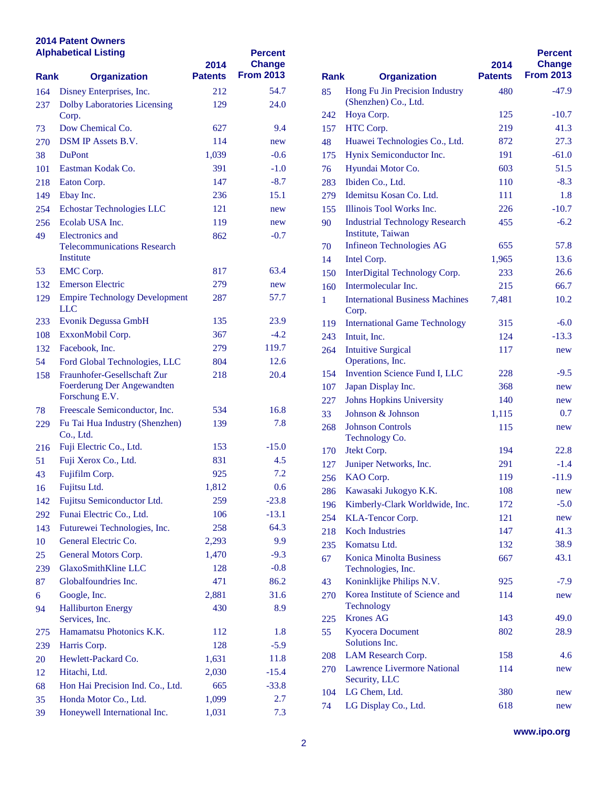#### **2014 Patent Owners Alphabetical Listing**

| <b>From 2013</b><br><b>Patents</b><br><b>Rank</b><br><b>Organization</b><br><b>Rank</b><br>54.7<br>85<br>164<br>Disney Enterprises, Inc.<br>212<br>(Shenzhen) Co., Ltd.<br><b>Dolby Laboratories Licensing</b><br>24.0<br>237<br>129<br>Hoya Corp.<br>242<br>Corp.<br>Dow Chemical Co.<br>627<br>9.4<br>HTC Corp.<br>73<br>157<br><b>DSM IP Assets B.V.</b><br>Huawei Technologies C<br>114<br>270<br>48<br>new<br>$-0.6$<br>Hynix Semiconductor In<br><b>DuPont</b><br>1,039<br>38<br>175<br>Eastman Kodak Co.<br>Hyundai Motor Co.<br>391<br>$-1.0$<br>76<br>101<br>Ibiden Co., Ltd.<br>147<br>$-8.7$<br>Eaton Corp.<br>218<br>283<br>Idemitsu Kosan Co. Ltd<br>Ebay Inc.<br>236<br>15.1<br>279<br>149<br>Echostar Technologies LLC<br>121<br>254<br>155<br>new<br>Ecolab USA Inc.<br>256<br>119<br>90<br>new<br>Institute, Taiwan<br>Electronics and<br>$-0.7$<br>49<br>862<br>Infineon Technologies A<br>70<br><b>Telecommunications Research</b><br>Institute<br>Intel Corp.<br>14<br><b>EMC</b> Corp.<br>817<br>63.4<br>53<br><b>InterDigital Technology</b><br>150<br>279<br><b>Emerson Electric</b><br>132<br>new<br>Intermolecular Inc.<br>160<br><b>Empire Technology Development</b><br>57.7<br>287<br>129<br><b>International Business N</b><br>1<br><b>LLC</b><br>Corp.<br>Evonik Degussa GmbH<br>135<br>23.9<br>233<br><b>International Game Tecl</b><br>119<br>$-4.2$<br>108<br>ExxonMobil Corp.<br>367<br>Intuit, Inc.<br>243<br>Facebook, Inc.<br>119.7<br>132<br>279<br><b>Intuitive Surgical</b><br>264<br>Operations, Inc.<br>12.6<br>Ford Global Technologies, LLC<br>54<br>804<br><b>Invention Science Fund</b><br>154<br>Fraunhofer-Gesellschaft Zur<br>218<br>20.4<br>158<br>Foerderung Der Angewandten<br>Japan Display Inc.<br>107<br>Forschung E.V.<br>227<br><b>Johns Hopkins Universi</b><br>Freescale Semiconductor, Inc.<br>16.8<br>534<br>78<br>Johnson & Johnson<br>33<br>Fu Tai Hua Industry (Shenzhen)<br>7.8<br>139<br>229<br><b>Johnson Controls</b><br>268<br>Co., Ltd.<br>Technology Co.<br>Fuji Electric Co., Ltd.<br>153<br>$-15.0$<br>216<br>Jtekt Corp.<br>170<br>Fuji Xerox Co., Ltd.<br>831<br>4.5<br>51<br>Juniper Networks, Inc.<br>127<br>7.2<br>Fujifilm Corp.<br>925<br>43<br>KAO Corp.<br>256<br>0.6<br>Fujitsu Ltd.<br>1,812<br>16<br>286 Kawasaki Jukogyo K.K.<br>Fujitsu Semiconductor Ltd.<br>259<br>$-23.8$<br>142<br>Kimberly-Clark Worldw<br>196<br>Funai Electric Co., Ltd.<br>$-13.1$<br>106<br>292<br>KLA-Tencor Corp.<br>254<br>Futurewei Technologies, Inc.<br>64.3<br>258<br>143<br><b>Koch Industries</b><br>218<br>9.9<br>General Electric Co.<br>2,293<br>10<br>Komatsu Ltd.<br>235<br>General Motors Corp.<br>$-9.3$<br>25<br>1,470<br><b>Konica Minolta Busines</b><br>67<br>GlaxoSmithKline LLC<br>$-0.8$<br>128<br>239<br>Technologies, Inc.<br>Globalfoundries Inc.<br>471<br>86.2<br>87<br>43<br>Google, Inc.<br>31.6<br>2,881<br>270<br>6<br>Technology<br><b>Halliburton Energy</b><br>430<br>8.9<br>94<br><b>Krones AG</b><br>Services, Inc.<br>225<br>Hamamatsu Photonics K.K.<br><b>Kyocera Document</b><br>55<br>275<br>112<br>1.8<br>Solutions Inc.<br>$-5.9$<br>Harris Corp.<br>128<br>239<br>LAM Research Corp.<br>208<br>Hewlett-Packard Co.<br>11.8<br>1,631<br>20<br>Lawrence Livermore Na<br>270<br>Hitachi, Ltd.<br>$-15.4$<br>2,030<br>12<br>Security, LLC<br>Hon Hai Precision Ind. Co., Ltd.<br>$-33.8$<br>68<br>665<br>LG Chem, Ltd.<br>104<br>Honda Motor Co., Ltd.<br>35<br>1,099<br>2.7<br>LG Display Co., Ltd.<br>74<br>Honeywell International Inc.<br>1,031<br>7.3<br>39 |  | <b>Alphabetical Listing</b> | 2014 | <b>Percent</b><br><b>Change</b> |                                |  |
|---------------------------------------------------------------------------------------------------------------------------------------------------------------------------------------------------------------------------------------------------------------------------------------------------------------------------------------------------------------------------------------------------------------------------------------------------------------------------------------------------------------------------------------------------------------------------------------------------------------------------------------------------------------------------------------------------------------------------------------------------------------------------------------------------------------------------------------------------------------------------------------------------------------------------------------------------------------------------------------------------------------------------------------------------------------------------------------------------------------------------------------------------------------------------------------------------------------------------------------------------------------------------------------------------------------------------------------------------------------------------------------------------------------------------------------------------------------------------------------------------------------------------------------------------------------------------------------------------------------------------------------------------------------------------------------------------------------------------------------------------------------------------------------------------------------------------------------------------------------------------------------------------------------------------------------------------------------------------------------------------------------------------------------------------------------------------------------------------------------------------------------------------------------------------------------------------------------------------------------------------------------------------------------------------------------------------------------------------------------------------------------------------------------------------------------------------------------------------------------------------------------------------------------------------------------------------------------------------------------------------------------------------------------------------------------------------------------------------------------------------------------------------------------------------------------------------------------------------------------------------------------------------------------------------------------------------------------------------------------------------------------------------------------------------------------------------------------------------------------------------------------------------------------------------------------------------------------------------------------------------------------------------------------------------------------------------------------------------------------------------------------------------------------------------------------------------------------------------------------------------------------------------------------------------------------------------|--|-----------------------------|------|---------------------------------|--------------------------------|--|
|                                                                                                                                                                                                                                                                                                                                                                                                                                                                                                                                                                                                                                                                                                                                                                                                                                                                                                                                                                                                                                                                                                                                                                                                                                                                                                                                                                                                                                                                                                                                                                                                                                                                                                                                                                                                                                                                                                                                                                                                                                                                                                                                                                                                                                                                                                                                                                                                                                                                                                                                                                                                                                                                                                                                                                                                                                                                                                                                                                                                                                                                                                                                                                                                                                                                                                                                                                                                                                                                                                                                                                           |  |                             |      |                                 | <b>Organization</b>            |  |
|                                                                                                                                                                                                                                                                                                                                                                                                                                                                                                                                                                                                                                                                                                                                                                                                                                                                                                                                                                                                                                                                                                                                                                                                                                                                                                                                                                                                                                                                                                                                                                                                                                                                                                                                                                                                                                                                                                                                                                                                                                                                                                                                                                                                                                                                                                                                                                                                                                                                                                                                                                                                                                                                                                                                                                                                                                                                                                                                                                                                                                                                                                                                                                                                                                                                                                                                                                                                                                                                                                                                                                           |  |                             |      |                                 | Hong Fu Jin Precision In       |  |
|                                                                                                                                                                                                                                                                                                                                                                                                                                                                                                                                                                                                                                                                                                                                                                                                                                                                                                                                                                                                                                                                                                                                                                                                                                                                                                                                                                                                                                                                                                                                                                                                                                                                                                                                                                                                                                                                                                                                                                                                                                                                                                                                                                                                                                                                                                                                                                                                                                                                                                                                                                                                                                                                                                                                                                                                                                                                                                                                                                                                                                                                                                                                                                                                                                                                                                                                                                                                                                                                                                                                                                           |  |                             |      |                                 |                                |  |
|                                                                                                                                                                                                                                                                                                                                                                                                                                                                                                                                                                                                                                                                                                                                                                                                                                                                                                                                                                                                                                                                                                                                                                                                                                                                                                                                                                                                                                                                                                                                                                                                                                                                                                                                                                                                                                                                                                                                                                                                                                                                                                                                                                                                                                                                                                                                                                                                                                                                                                                                                                                                                                                                                                                                                                                                                                                                                                                                                                                                                                                                                                                                                                                                                                                                                                                                                                                                                                                                                                                                                                           |  |                             |      |                                 |                                |  |
|                                                                                                                                                                                                                                                                                                                                                                                                                                                                                                                                                                                                                                                                                                                                                                                                                                                                                                                                                                                                                                                                                                                                                                                                                                                                                                                                                                                                                                                                                                                                                                                                                                                                                                                                                                                                                                                                                                                                                                                                                                                                                                                                                                                                                                                                                                                                                                                                                                                                                                                                                                                                                                                                                                                                                                                                                                                                                                                                                                                                                                                                                                                                                                                                                                                                                                                                                                                                                                                                                                                                                                           |  |                             |      |                                 |                                |  |
|                                                                                                                                                                                                                                                                                                                                                                                                                                                                                                                                                                                                                                                                                                                                                                                                                                                                                                                                                                                                                                                                                                                                                                                                                                                                                                                                                                                                                                                                                                                                                                                                                                                                                                                                                                                                                                                                                                                                                                                                                                                                                                                                                                                                                                                                                                                                                                                                                                                                                                                                                                                                                                                                                                                                                                                                                                                                                                                                                                                                                                                                                                                                                                                                                                                                                                                                                                                                                                                                                                                                                                           |  |                             |      |                                 |                                |  |
|                                                                                                                                                                                                                                                                                                                                                                                                                                                                                                                                                                                                                                                                                                                                                                                                                                                                                                                                                                                                                                                                                                                                                                                                                                                                                                                                                                                                                                                                                                                                                                                                                                                                                                                                                                                                                                                                                                                                                                                                                                                                                                                                                                                                                                                                                                                                                                                                                                                                                                                                                                                                                                                                                                                                                                                                                                                                                                                                                                                                                                                                                                                                                                                                                                                                                                                                                                                                                                                                                                                                                                           |  |                             |      |                                 |                                |  |
|                                                                                                                                                                                                                                                                                                                                                                                                                                                                                                                                                                                                                                                                                                                                                                                                                                                                                                                                                                                                                                                                                                                                                                                                                                                                                                                                                                                                                                                                                                                                                                                                                                                                                                                                                                                                                                                                                                                                                                                                                                                                                                                                                                                                                                                                                                                                                                                                                                                                                                                                                                                                                                                                                                                                                                                                                                                                                                                                                                                                                                                                                                                                                                                                                                                                                                                                                                                                                                                                                                                                                                           |  |                             |      |                                 |                                |  |
|                                                                                                                                                                                                                                                                                                                                                                                                                                                                                                                                                                                                                                                                                                                                                                                                                                                                                                                                                                                                                                                                                                                                                                                                                                                                                                                                                                                                                                                                                                                                                                                                                                                                                                                                                                                                                                                                                                                                                                                                                                                                                                                                                                                                                                                                                                                                                                                                                                                                                                                                                                                                                                                                                                                                                                                                                                                                                                                                                                                                                                                                                                                                                                                                                                                                                                                                                                                                                                                                                                                                                                           |  |                             |      |                                 |                                |  |
|                                                                                                                                                                                                                                                                                                                                                                                                                                                                                                                                                                                                                                                                                                                                                                                                                                                                                                                                                                                                                                                                                                                                                                                                                                                                                                                                                                                                                                                                                                                                                                                                                                                                                                                                                                                                                                                                                                                                                                                                                                                                                                                                                                                                                                                                                                                                                                                                                                                                                                                                                                                                                                                                                                                                                                                                                                                                                                                                                                                                                                                                                                                                                                                                                                                                                                                                                                                                                                                                                                                                                                           |  |                             |      |                                 |                                |  |
|                                                                                                                                                                                                                                                                                                                                                                                                                                                                                                                                                                                                                                                                                                                                                                                                                                                                                                                                                                                                                                                                                                                                                                                                                                                                                                                                                                                                                                                                                                                                                                                                                                                                                                                                                                                                                                                                                                                                                                                                                                                                                                                                                                                                                                                                                                                                                                                                                                                                                                                                                                                                                                                                                                                                                                                                                                                                                                                                                                                                                                                                                                                                                                                                                                                                                                                                                                                                                                                                                                                                                                           |  |                             |      |                                 | Illinois Tool Works Inc.       |  |
|                                                                                                                                                                                                                                                                                                                                                                                                                                                                                                                                                                                                                                                                                                                                                                                                                                                                                                                                                                                                                                                                                                                                                                                                                                                                                                                                                                                                                                                                                                                                                                                                                                                                                                                                                                                                                                                                                                                                                                                                                                                                                                                                                                                                                                                                                                                                                                                                                                                                                                                                                                                                                                                                                                                                                                                                                                                                                                                                                                                                                                                                                                                                                                                                                                                                                                                                                                                                                                                                                                                                                                           |  |                             |      |                                 | <b>Industrial Technology R</b> |  |
|                                                                                                                                                                                                                                                                                                                                                                                                                                                                                                                                                                                                                                                                                                                                                                                                                                                                                                                                                                                                                                                                                                                                                                                                                                                                                                                                                                                                                                                                                                                                                                                                                                                                                                                                                                                                                                                                                                                                                                                                                                                                                                                                                                                                                                                                                                                                                                                                                                                                                                                                                                                                                                                                                                                                                                                                                                                                                                                                                                                                                                                                                                                                                                                                                                                                                                                                                                                                                                                                                                                                                                           |  |                             |      |                                 |                                |  |
|                                                                                                                                                                                                                                                                                                                                                                                                                                                                                                                                                                                                                                                                                                                                                                                                                                                                                                                                                                                                                                                                                                                                                                                                                                                                                                                                                                                                                                                                                                                                                                                                                                                                                                                                                                                                                                                                                                                                                                                                                                                                                                                                                                                                                                                                                                                                                                                                                                                                                                                                                                                                                                                                                                                                                                                                                                                                                                                                                                                                                                                                                                                                                                                                                                                                                                                                                                                                                                                                                                                                                                           |  |                             |      |                                 |                                |  |
|                                                                                                                                                                                                                                                                                                                                                                                                                                                                                                                                                                                                                                                                                                                                                                                                                                                                                                                                                                                                                                                                                                                                                                                                                                                                                                                                                                                                                                                                                                                                                                                                                                                                                                                                                                                                                                                                                                                                                                                                                                                                                                                                                                                                                                                                                                                                                                                                                                                                                                                                                                                                                                                                                                                                                                                                                                                                                                                                                                                                                                                                                                                                                                                                                                                                                                                                                                                                                                                                                                                                                                           |  |                             |      |                                 |                                |  |
|                                                                                                                                                                                                                                                                                                                                                                                                                                                                                                                                                                                                                                                                                                                                                                                                                                                                                                                                                                                                                                                                                                                                                                                                                                                                                                                                                                                                                                                                                                                                                                                                                                                                                                                                                                                                                                                                                                                                                                                                                                                                                                                                                                                                                                                                                                                                                                                                                                                                                                                                                                                                                                                                                                                                                                                                                                                                                                                                                                                                                                                                                                                                                                                                                                                                                                                                                                                                                                                                                                                                                                           |  |                             |      |                                 |                                |  |
|                                                                                                                                                                                                                                                                                                                                                                                                                                                                                                                                                                                                                                                                                                                                                                                                                                                                                                                                                                                                                                                                                                                                                                                                                                                                                                                                                                                                                                                                                                                                                                                                                                                                                                                                                                                                                                                                                                                                                                                                                                                                                                                                                                                                                                                                                                                                                                                                                                                                                                                                                                                                                                                                                                                                                                                                                                                                                                                                                                                                                                                                                                                                                                                                                                                                                                                                                                                                                                                                                                                                                                           |  |                             |      |                                 |                                |  |
|                                                                                                                                                                                                                                                                                                                                                                                                                                                                                                                                                                                                                                                                                                                                                                                                                                                                                                                                                                                                                                                                                                                                                                                                                                                                                                                                                                                                                                                                                                                                                                                                                                                                                                                                                                                                                                                                                                                                                                                                                                                                                                                                                                                                                                                                                                                                                                                                                                                                                                                                                                                                                                                                                                                                                                                                                                                                                                                                                                                                                                                                                                                                                                                                                                                                                                                                                                                                                                                                                                                                                                           |  |                             |      |                                 |                                |  |
|                                                                                                                                                                                                                                                                                                                                                                                                                                                                                                                                                                                                                                                                                                                                                                                                                                                                                                                                                                                                                                                                                                                                                                                                                                                                                                                                                                                                                                                                                                                                                                                                                                                                                                                                                                                                                                                                                                                                                                                                                                                                                                                                                                                                                                                                                                                                                                                                                                                                                                                                                                                                                                                                                                                                                                                                                                                                                                                                                                                                                                                                                                                                                                                                                                                                                                                                                                                                                                                                                                                                                                           |  |                             |      |                                 |                                |  |
|                                                                                                                                                                                                                                                                                                                                                                                                                                                                                                                                                                                                                                                                                                                                                                                                                                                                                                                                                                                                                                                                                                                                                                                                                                                                                                                                                                                                                                                                                                                                                                                                                                                                                                                                                                                                                                                                                                                                                                                                                                                                                                                                                                                                                                                                                                                                                                                                                                                                                                                                                                                                                                                                                                                                                                                                                                                                                                                                                                                                                                                                                                                                                                                                                                                                                                                                                                                                                                                                                                                                                                           |  |                             |      |                                 |                                |  |
|                                                                                                                                                                                                                                                                                                                                                                                                                                                                                                                                                                                                                                                                                                                                                                                                                                                                                                                                                                                                                                                                                                                                                                                                                                                                                                                                                                                                                                                                                                                                                                                                                                                                                                                                                                                                                                                                                                                                                                                                                                                                                                                                                                                                                                                                                                                                                                                                                                                                                                                                                                                                                                                                                                                                                                                                                                                                                                                                                                                                                                                                                                                                                                                                                                                                                                                                                                                                                                                                                                                                                                           |  |                             |      |                                 |                                |  |
|                                                                                                                                                                                                                                                                                                                                                                                                                                                                                                                                                                                                                                                                                                                                                                                                                                                                                                                                                                                                                                                                                                                                                                                                                                                                                                                                                                                                                                                                                                                                                                                                                                                                                                                                                                                                                                                                                                                                                                                                                                                                                                                                                                                                                                                                                                                                                                                                                                                                                                                                                                                                                                                                                                                                                                                                                                                                                                                                                                                                                                                                                                                                                                                                                                                                                                                                                                                                                                                                                                                                                                           |  |                             |      |                                 |                                |  |
|                                                                                                                                                                                                                                                                                                                                                                                                                                                                                                                                                                                                                                                                                                                                                                                                                                                                                                                                                                                                                                                                                                                                                                                                                                                                                                                                                                                                                                                                                                                                                                                                                                                                                                                                                                                                                                                                                                                                                                                                                                                                                                                                                                                                                                                                                                                                                                                                                                                                                                                                                                                                                                                                                                                                                                                                                                                                                                                                                                                                                                                                                                                                                                                                                                                                                                                                                                                                                                                                                                                                                                           |  |                             |      |                                 |                                |  |
|                                                                                                                                                                                                                                                                                                                                                                                                                                                                                                                                                                                                                                                                                                                                                                                                                                                                                                                                                                                                                                                                                                                                                                                                                                                                                                                                                                                                                                                                                                                                                                                                                                                                                                                                                                                                                                                                                                                                                                                                                                                                                                                                                                                                                                                                                                                                                                                                                                                                                                                                                                                                                                                                                                                                                                                                                                                                                                                                                                                                                                                                                                                                                                                                                                                                                                                                                                                                                                                                                                                                                                           |  |                             |      |                                 |                                |  |
|                                                                                                                                                                                                                                                                                                                                                                                                                                                                                                                                                                                                                                                                                                                                                                                                                                                                                                                                                                                                                                                                                                                                                                                                                                                                                                                                                                                                                                                                                                                                                                                                                                                                                                                                                                                                                                                                                                                                                                                                                                                                                                                                                                                                                                                                                                                                                                                                                                                                                                                                                                                                                                                                                                                                                                                                                                                                                                                                                                                                                                                                                                                                                                                                                                                                                                                                                                                                                                                                                                                                                                           |  |                             |      |                                 |                                |  |
|                                                                                                                                                                                                                                                                                                                                                                                                                                                                                                                                                                                                                                                                                                                                                                                                                                                                                                                                                                                                                                                                                                                                                                                                                                                                                                                                                                                                                                                                                                                                                                                                                                                                                                                                                                                                                                                                                                                                                                                                                                                                                                                                                                                                                                                                                                                                                                                                                                                                                                                                                                                                                                                                                                                                                                                                                                                                                                                                                                                                                                                                                                                                                                                                                                                                                                                                                                                                                                                                                                                                                                           |  |                             |      |                                 |                                |  |
|                                                                                                                                                                                                                                                                                                                                                                                                                                                                                                                                                                                                                                                                                                                                                                                                                                                                                                                                                                                                                                                                                                                                                                                                                                                                                                                                                                                                                                                                                                                                                                                                                                                                                                                                                                                                                                                                                                                                                                                                                                                                                                                                                                                                                                                                                                                                                                                                                                                                                                                                                                                                                                                                                                                                                                                                                                                                                                                                                                                                                                                                                                                                                                                                                                                                                                                                                                                                                                                                                                                                                                           |  |                             |      |                                 |                                |  |
|                                                                                                                                                                                                                                                                                                                                                                                                                                                                                                                                                                                                                                                                                                                                                                                                                                                                                                                                                                                                                                                                                                                                                                                                                                                                                                                                                                                                                                                                                                                                                                                                                                                                                                                                                                                                                                                                                                                                                                                                                                                                                                                                                                                                                                                                                                                                                                                                                                                                                                                                                                                                                                                                                                                                                                                                                                                                                                                                                                                                                                                                                                                                                                                                                                                                                                                                                                                                                                                                                                                                                                           |  |                             |      |                                 |                                |  |
|                                                                                                                                                                                                                                                                                                                                                                                                                                                                                                                                                                                                                                                                                                                                                                                                                                                                                                                                                                                                                                                                                                                                                                                                                                                                                                                                                                                                                                                                                                                                                                                                                                                                                                                                                                                                                                                                                                                                                                                                                                                                                                                                                                                                                                                                                                                                                                                                                                                                                                                                                                                                                                                                                                                                                                                                                                                                                                                                                                                                                                                                                                                                                                                                                                                                                                                                                                                                                                                                                                                                                                           |  |                             |      |                                 |                                |  |
|                                                                                                                                                                                                                                                                                                                                                                                                                                                                                                                                                                                                                                                                                                                                                                                                                                                                                                                                                                                                                                                                                                                                                                                                                                                                                                                                                                                                                                                                                                                                                                                                                                                                                                                                                                                                                                                                                                                                                                                                                                                                                                                                                                                                                                                                                                                                                                                                                                                                                                                                                                                                                                                                                                                                                                                                                                                                                                                                                                                                                                                                                                                                                                                                                                                                                                                                                                                                                                                                                                                                                                           |  |                             |      |                                 |                                |  |
|                                                                                                                                                                                                                                                                                                                                                                                                                                                                                                                                                                                                                                                                                                                                                                                                                                                                                                                                                                                                                                                                                                                                                                                                                                                                                                                                                                                                                                                                                                                                                                                                                                                                                                                                                                                                                                                                                                                                                                                                                                                                                                                                                                                                                                                                                                                                                                                                                                                                                                                                                                                                                                                                                                                                                                                                                                                                                                                                                                                                                                                                                                                                                                                                                                                                                                                                                                                                                                                                                                                                                                           |  |                             |      |                                 |                                |  |
|                                                                                                                                                                                                                                                                                                                                                                                                                                                                                                                                                                                                                                                                                                                                                                                                                                                                                                                                                                                                                                                                                                                                                                                                                                                                                                                                                                                                                                                                                                                                                                                                                                                                                                                                                                                                                                                                                                                                                                                                                                                                                                                                                                                                                                                                                                                                                                                                                                                                                                                                                                                                                                                                                                                                                                                                                                                                                                                                                                                                                                                                                                                                                                                                                                                                                                                                                                                                                                                                                                                                                                           |  |                             |      |                                 |                                |  |
|                                                                                                                                                                                                                                                                                                                                                                                                                                                                                                                                                                                                                                                                                                                                                                                                                                                                                                                                                                                                                                                                                                                                                                                                                                                                                                                                                                                                                                                                                                                                                                                                                                                                                                                                                                                                                                                                                                                                                                                                                                                                                                                                                                                                                                                                                                                                                                                                                                                                                                                                                                                                                                                                                                                                                                                                                                                                                                                                                                                                                                                                                                                                                                                                                                                                                                                                                                                                                                                                                                                                                                           |  |                             |      |                                 |                                |  |
|                                                                                                                                                                                                                                                                                                                                                                                                                                                                                                                                                                                                                                                                                                                                                                                                                                                                                                                                                                                                                                                                                                                                                                                                                                                                                                                                                                                                                                                                                                                                                                                                                                                                                                                                                                                                                                                                                                                                                                                                                                                                                                                                                                                                                                                                                                                                                                                                                                                                                                                                                                                                                                                                                                                                                                                                                                                                                                                                                                                                                                                                                                                                                                                                                                                                                                                                                                                                                                                                                                                                                                           |  |                             |      |                                 |                                |  |
|                                                                                                                                                                                                                                                                                                                                                                                                                                                                                                                                                                                                                                                                                                                                                                                                                                                                                                                                                                                                                                                                                                                                                                                                                                                                                                                                                                                                                                                                                                                                                                                                                                                                                                                                                                                                                                                                                                                                                                                                                                                                                                                                                                                                                                                                                                                                                                                                                                                                                                                                                                                                                                                                                                                                                                                                                                                                                                                                                                                                                                                                                                                                                                                                                                                                                                                                                                                                                                                                                                                                                                           |  |                             |      |                                 |                                |  |
|                                                                                                                                                                                                                                                                                                                                                                                                                                                                                                                                                                                                                                                                                                                                                                                                                                                                                                                                                                                                                                                                                                                                                                                                                                                                                                                                                                                                                                                                                                                                                                                                                                                                                                                                                                                                                                                                                                                                                                                                                                                                                                                                                                                                                                                                                                                                                                                                                                                                                                                                                                                                                                                                                                                                                                                                                                                                                                                                                                                                                                                                                                                                                                                                                                                                                                                                                                                                                                                                                                                                                                           |  |                             |      |                                 |                                |  |
|                                                                                                                                                                                                                                                                                                                                                                                                                                                                                                                                                                                                                                                                                                                                                                                                                                                                                                                                                                                                                                                                                                                                                                                                                                                                                                                                                                                                                                                                                                                                                                                                                                                                                                                                                                                                                                                                                                                                                                                                                                                                                                                                                                                                                                                                                                                                                                                                                                                                                                                                                                                                                                                                                                                                                                                                                                                                                                                                                                                                                                                                                                                                                                                                                                                                                                                                                                                                                                                                                                                                                                           |  |                             |      |                                 |                                |  |
|                                                                                                                                                                                                                                                                                                                                                                                                                                                                                                                                                                                                                                                                                                                                                                                                                                                                                                                                                                                                                                                                                                                                                                                                                                                                                                                                                                                                                                                                                                                                                                                                                                                                                                                                                                                                                                                                                                                                                                                                                                                                                                                                                                                                                                                                                                                                                                                                                                                                                                                                                                                                                                                                                                                                                                                                                                                                                                                                                                                                                                                                                                                                                                                                                                                                                                                                                                                                                                                                                                                                                                           |  |                             |      |                                 |                                |  |
|                                                                                                                                                                                                                                                                                                                                                                                                                                                                                                                                                                                                                                                                                                                                                                                                                                                                                                                                                                                                                                                                                                                                                                                                                                                                                                                                                                                                                                                                                                                                                                                                                                                                                                                                                                                                                                                                                                                                                                                                                                                                                                                                                                                                                                                                                                                                                                                                                                                                                                                                                                                                                                                                                                                                                                                                                                                                                                                                                                                                                                                                                                                                                                                                                                                                                                                                                                                                                                                                                                                                                                           |  |                             |      |                                 | Koninklijke Philips N.V        |  |
|                                                                                                                                                                                                                                                                                                                                                                                                                                                                                                                                                                                                                                                                                                                                                                                                                                                                                                                                                                                                                                                                                                                                                                                                                                                                                                                                                                                                                                                                                                                                                                                                                                                                                                                                                                                                                                                                                                                                                                                                                                                                                                                                                                                                                                                                                                                                                                                                                                                                                                                                                                                                                                                                                                                                                                                                                                                                                                                                                                                                                                                                                                                                                                                                                                                                                                                                                                                                                                                                                                                                                                           |  |                             |      |                                 | Korea Institute of Scien       |  |
|                                                                                                                                                                                                                                                                                                                                                                                                                                                                                                                                                                                                                                                                                                                                                                                                                                                                                                                                                                                                                                                                                                                                                                                                                                                                                                                                                                                                                                                                                                                                                                                                                                                                                                                                                                                                                                                                                                                                                                                                                                                                                                                                                                                                                                                                                                                                                                                                                                                                                                                                                                                                                                                                                                                                                                                                                                                                                                                                                                                                                                                                                                                                                                                                                                                                                                                                                                                                                                                                                                                                                                           |  |                             |      |                                 |                                |  |
|                                                                                                                                                                                                                                                                                                                                                                                                                                                                                                                                                                                                                                                                                                                                                                                                                                                                                                                                                                                                                                                                                                                                                                                                                                                                                                                                                                                                                                                                                                                                                                                                                                                                                                                                                                                                                                                                                                                                                                                                                                                                                                                                                                                                                                                                                                                                                                                                                                                                                                                                                                                                                                                                                                                                                                                                                                                                                                                                                                                                                                                                                                                                                                                                                                                                                                                                                                                                                                                                                                                                                                           |  |                             |      |                                 |                                |  |
|                                                                                                                                                                                                                                                                                                                                                                                                                                                                                                                                                                                                                                                                                                                                                                                                                                                                                                                                                                                                                                                                                                                                                                                                                                                                                                                                                                                                                                                                                                                                                                                                                                                                                                                                                                                                                                                                                                                                                                                                                                                                                                                                                                                                                                                                                                                                                                                                                                                                                                                                                                                                                                                                                                                                                                                                                                                                                                                                                                                                                                                                                                                                                                                                                                                                                                                                                                                                                                                                                                                                                                           |  |                             |      |                                 |                                |  |
|                                                                                                                                                                                                                                                                                                                                                                                                                                                                                                                                                                                                                                                                                                                                                                                                                                                                                                                                                                                                                                                                                                                                                                                                                                                                                                                                                                                                                                                                                                                                                                                                                                                                                                                                                                                                                                                                                                                                                                                                                                                                                                                                                                                                                                                                                                                                                                                                                                                                                                                                                                                                                                                                                                                                                                                                                                                                                                                                                                                                                                                                                                                                                                                                                                                                                                                                                                                                                                                                                                                                                                           |  |                             |      |                                 |                                |  |
|                                                                                                                                                                                                                                                                                                                                                                                                                                                                                                                                                                                                                                                                                                                                                                                                                                                                                                                                                                                                                                                                                                                                                                                                                                                                                                                                                                                                                                                                                                                                                                                                                                                                                                                                                                                                                                                                                                                                                                                                                                                                                                                                                                                                                                                                                                                                                                                                                                                                                                                                                                                                                                                                                                                                                                                                                                                                                                                                                                                                                                                                                                                                                                                                                                                                                                                                                                                                                                                                                                                                                                           |  |                             |      |                                 |                                |  |
|                                                                                                                                                                                                                                                                                                                                                                                                                                                                                                                                                                                                                                                                                                                                                                                                                                                                                                                                                                                                                                                                                                                                                                                                                                                                                                                                                                                                                                                                                                                                                                                                                                                                                                                                                                                                                                                                                                                                                                                                                                                                                                                                                                                                                                                                                                                                                                                                                                                                                                                                                                                                                                                                                                                                                                                                                                                                                                                                                                                                                                                                                                                                                                                                                                                                                                                                                                                                                                                                                                                                                                           |  |                             |      |                                 |                                |  |
|                                                                                                                                                                                                                                                                                                                                                                                                                                                                                                                                                                                                                                                                                                                                                                                                                                                                                                                                                                                                                                                                                                                                                                                                                                                                                                                                                                                                                                                                                                                                                                                                                                                                                                                                                                                                                                                                                                                                                                                                                                                                                                                                                                                                                                                                                                                                                                                                                                                                                                                                                                                                                                                                                                                                                                                                                                                                                                                                                                                                                                                                                                                                                                                                                                                                                                                                                                                                                                                                                                                                                                           |  |                             |      |                                 |                                |  |
|                                                                                                                                                                                                                                                                                                                                                                                                                                                                                                                                                                                                                                                                                                                                                                                                                                                                                                                                                                                                                                                                                                                                                                                                                                                                                                                                                                                                                                                                                                                                                                                                                                                                                                                                                                                                                                                                                                                                                                                                                                                                                                                                                                                                                                                                                                                                                                                                                                                                                                                                                                                                                                                                                                                                                                                                                                                                                                                                                                                                                                                                                                                                                                                                                                                                                                                                                                                                                                                                                                                                                                           |  |                             |      |                                 |                                |  |
|                                                                                                                                                                                                                                                                                                                                                                                                                                                                                                                                                                                                                                                                                                                                                                                                                                                                                                                                                                                                                                                                                                                                                                                                                                                                                                                                                                                                                                                                                                                                                                                                                                                                                                                                                                                                                                                                                                                                                                                                                                                                                                                                                                                                                                                                                                                                                                                                                                                                                                                                                                                                                                                                                                                                                                                                                                                                                                                                                                                                                                                                                                                                                                                                                                                                                                                                                                                                                                                                                                                                                                           |  |                             |      |                                 |                                |  |

| Rank | <b>Organization</b>                                        | 2014<br><b>Patents</b> | <b>Percent</b><br><b>Change</b><br><b>From 2013</b> |
|------|------------------------------------------------------------|------------------------|-----------------------------------------------------|
| 85   | Hong Fu Jin Precision Industry<br>(Shenzhen) Co., Ltd.     | 480                    | $-47.9$                                             |
| 242  | Hoya Corp.                                                 | 125                    | $-10.7$                                             |
| 157  | HTC Corp.                                                  | 219                    | 41.3                                                |
| 48   | Huawei Technologies Co., Ltd.                              | 872                    | 27.3                                                |
| 175  | Hynix Semiconductor Inc.                                   | 191                    | $-61.0$                                             |
| 76   | Hyundai Motor Co.                                          | 603                    | 51.5                                                |
| 283  | Ibiden Co., Ltd.                                           | 110                    | $-8.3$                                              |
| 279  | Idemitsu Kosan Co. Ltd.                                    | 111                    | 1.8                                                 |
| 155  | Illinois Tool Works Inc.                                   | 226                    | $-10.7$                                             |
| 90   | <b>Industrial Technology Research</b><br>Institute, Taiwan | 455                    | $-6.2$                                              |
| 70   | <b>Infineon Technologies AG</b>                            | 655                    | 57.8                                                |
| 14   | Intel Corp.                                                | 1,965                  | 13.6                                                |
| 150  | InterDigital Technology Corp.                              | 233                    | 26.6                                                |
| 160  | Intermolecular Inc.                                        | 215                    | 66.7                                                |
| 1    | <b>International Business Machines</b><br>Corp.            | 7,481                  | 10.2                                                |
| 119  | <b>International Game Technology</b>                       | 315                    | $-6.0$                                              |
| 243  | Intuit, Inc.                                               | 124                    | $-13.3$                                             |
| 264  | <b>Intuitive Surgical</b><br>Operations, Inc.              | 117                    | new                                                 |
| 154  | Invention Science Fund I, LLC                              | 228                    | $-9.5$                                              |
| 107  | Japan Display Inc.                                         | 368                    | new                                                 |
| 227  | <b>Johns Hopkins University</b>                            | 140                    | new                                                 |
| 33   | Johnson & Johnson                                          | 1,115                  | 0.7                                                 |
| 268  | <b>Johnson Controls</b><br>Technology Co.                  | 115                    | new                                                 |
| 170  | Jtekt Corp.                                                | 194                    | 22.8                                                |
| 127  | Juniper Networks, Inc.                                     | 291                    | $-1.4$                                              |
| 256  | KAO Corp.                                                  | 119                    | $-11.9$                                             |
| 286  | Kawasaki Jukogyo K.K.                                      | 108                    | new                                                 |
| 196  | Kimberly-Clark Worldwide, Inc.                             | 172                    | $-5.0$                                              |
| 254  | KLA-Tencor Corp.                                           | 121                    | new                                                 |
| 218  | <b>Koch Industries</b>                                     | 147                    | 41.3                                                |
| 235  | Komatsu Ltd.                                               | 132                    | 38.9                                                |
| 67   | <b>Konica Minolta Business</b><br>Technologies, Inc.       | 667                    | 43.1                                                |
| 43   | Koninklijke Philips N.V.                                   | 925                    | $-7.9$                                              |
| 270  | Korea Institute of Science and<br>Technology               | 114                    | new                                                 |
| 225  | <b>Krones AG</b>                                           | 143                    | 49.0                                                |
| 55   | <b>Kyocera Document</b><br>Solutions Inc.                  | 802                    | 28.9                                                |
| 208  | <b>LAM Research Corp.</b>                                  | 158                    | 4.6                                                 |
| 270  | <b>Lawrence Livermore National</b><br>Security, LLC        | 114                    | new                                                 |
| 104  | LG Chem, Ltd.                                              | 380                    | new                                                 |
| 74   | LG Display Co., Ltd.                                       | 618                    | new                                                 |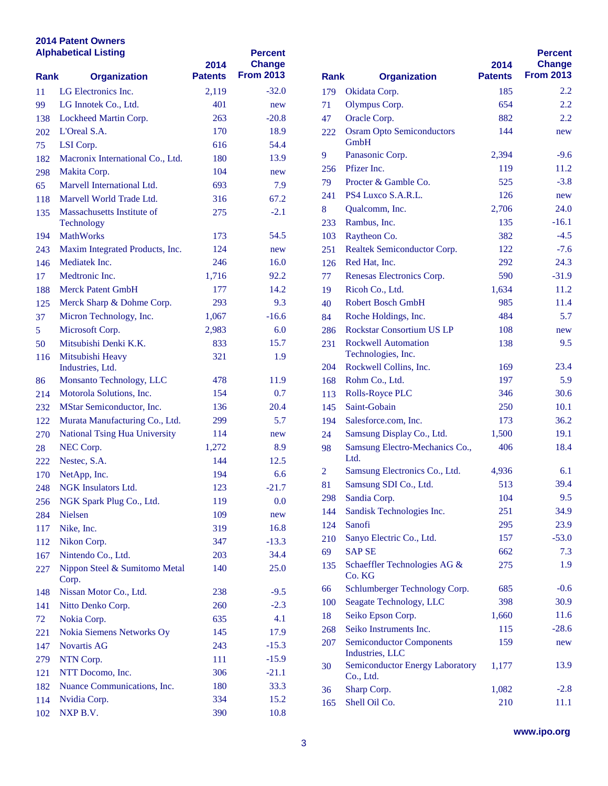### **2014 Patent Owners Alphabetical Listing**

|                | <b>Alphabetical Listing</b>            | 2014           | <b>Percent</b><br><b>Change</b> |                |                                          |
|----------------|----------------------------------------|----------------|---------------------------------|----------------|------------------------------------------|
| <b>Rank</b>    | <b>Organization</b>                    | <b>Patents</b> | <b>From 2013</b>                | <b>Rank</b>    | <b>Organization</b>                      |
| 11             | LG Electronics Inc.                    | 2,119          | $-32.0$                         | 179            | Okidata Corp.                            |
| 99             | LG Innotek Co., Ltd.                   | 401            | new                             | 71             | Olympus Corp.                            |
| 138            | Lockheed Martin Corp.                  | 263            | $-20.8$                         | 47             | Oracle Corp.                             |
| 202            | L'Oreal S.A.                           | 170            | 18.9                            | 222            | <b>Osram Opto Semicondu</b>              |
| 75             | LSI Corp.                              | 616            | 54.4                            |                | GmbH                                     |
| 182            | Macronix International Co., Ltd.       | 180            | 13.9                            | 9              | Panasonic Corp.                          |
| 298            | Makita Corp.                           | 104            | new                             | 256            | Pfizer Inc.                              |
| 65             | Marvell International Ltd.             | 693            | 7.9                             | 79             | Procter & Gamble Co.                     |
| 118            | Marvell World Trade Ltd.               | 316            | 67.2                            | 241            | PS4 Luxco S.A.R.L.                       |
| 135            | Massachusetts Institute of             | 275            | $-2.1$                          | 8              | Qualcomm, Inc.                           |
|                | Technology                             |                |                                 | 233            | Rambus, Inc.                             |
| 194            | <b>MathWorks</b>                       | 173            | 54.5                            | 103            | Raytheon Co.                             |
| 243            | Maxim Integrated Products, Inc.        | 124            | new                             | 251            | <b>Realtek Semiconductor</b>             |
| 146            | Mediatek Inc.                          | 246            | 16.0                            | 126            | Red Hat, Inc.                            |
| 17             | Medtronic Inc.                         | 1,716          | 92.2                            | 77             | <b>Renesas Electronics Cor</b>           |
| 188            | <b>Merck Patent GmbH</b>               | 177            | 14.2                            | 19             | Ricoh Co., Ltd.                          |
| 125            | Merck Sharp & Dohme Corp.              | 293            | 9.3                             | 40             | <b>Robert Bosch GmbH</b>                 |
| 37             | Micron Technology, Inc.                | 1,067          | $-16.6$                         | 84             | Roche Holdings, Inc.                     |
| 5 <sup>5</sup> | Microsoft Corp.                        | 2,983          | 6.0                             | 286            | <b>Rockstar Consortium US</b>            |
| 50             | Mitsubishi Denki K.K.                  | 833            | 15.7                            | 231            | <b>Rockwell Automation</b>               |
| 116            | Mitsubishi Heavy                       | 321            | 1.9                             |                | Technologies, Inc.                       |
|                | Industries, Ltd.                       |                |                                 | 204            | Rockwell Collins, Inc.                   |
| 86             | Monsanto Technology, LLC               | 478            | 11.9                            | 168            | Rohm Co., Ltd.                           |
| 214            | Motorola Solutions, Inc.               | 154            | 0.7                             | 113            | Rolls-Royce PLC                          |
| 232            | MStar Semiconductor, Inc.              | 136            | 20.4                            | 145            | Saint-Gobain                             |
| 122            | Murata Manufacturing Co., Ltd.         | 299            | 5.7                             | 194            | Salesforce.com, Inc.                     |
| 270            | <b>National Tsing Hua University</b>   | 114            | new                             | 24             | Samsung Display Co., L                   |
| 28             | NEC Corp.                              | 1,272          | 8.9                             | 98             | <b>Samsung Electro-Mecha</b>             |
| 222            | Nestec, S.A.                           | 144            | 12.5                            |                | Ltd.                                     |
| 170            | NetApp, Inc.                           | 194            | 6.6                             | $\overline{2}$ | <b>Samsung Electronics Co</b>            |
| 248            | NGK Insulators Ltd.                    | 123            | $-21.7$                         | 81             | Samsung SDI Co., Ltd.                    |
| 256            | NGK Spark Plug Co., Ltd.               | 119            | 0.0                             | 298            | Sandia Corp.                             |
| 284            | Nielsen                                | 109            | new                             | 144            | Sandisk Technologies In                  |
| 117            | Nike, Inc.                             | 319            | 16.8                            | 124            | Sanofi                                   |
| 112            | Nikon Corp.                            | 347            | $-13.3$                         | 210            | Sanyo Electric Co., Ltd.                 |
| 167            | Nintendo Co., Ltd.                     | 203            | 34.4                            | 69             | <b>SAP SE</b>                            |
| 227            | Nippon Steel & Sumitomo Metal<br>Corp. | 140            | 25.0                            | 135            | <b>Schaeffler Technologies</b><br>Co. KG |
| 148            | Nissan Motor Co., Ltd.                 | 238            | $-9.5$                          | 66             | Schlumberger Technolo                    |
| 141            | Nitto Denko Corp.                      | 260            | $-2.3$                          | 100            | Seagate Technology, LI                   |
| 72             | Nokia Corp.                            | 635            | 4.1                             | 18             | Seiko Epson Corp.                        |
| 221            | Nokia Siemens Networks Oy              | 145            | 17.9                            | 268            | Seiko Instruments Inc.                   |
| 147            | Novartis AG                            | 243            | $-15.3$                         | 207            | <b>Semiconductor Compon</b>              |
| 279            | NTN Corp.                              | 111            | $-15.9$                         |                | Industries, LLC                          |
| 121            | NTT Docomo, Inc.                       | 306            | $-21.1$                         | 30             | <b>Semiconductor Energy I</b>            |
| 182            | Nuance Communications, Inc.            | 180            | 33.3                            | 36             | Co., Ltd.<br>Sharp Corp.                 |
| 114            | Nvidia Corp.                           | 334            | 15.2                            | 165            | Shell Oil Co.                            |
| 102            | NXP B.V.                               | 390            | 10.8                            |                |                                          |
|                |                                        |                |                                 |                |                                          |

| <b>Rank</b> | <b>Organization</b>                                | 2014<br><b>Patents</b> | <b>Percent</b><br>Change<br><b>From 2013</b> |
|-------------|----------------------------------------------------|------------------------|----------------------------------------------|
|             |                                                    |                        |                                              |
| 179         | Okidata Corp.                                      | 185                    | 2.2                                          |
| 71          | Olympus Corp.                                      | 654                    | 2.2                                          |
| 47          | Oracle Corp.                                       | 882                    | 2.2                                          |
| 222         | <b>Osram Opto Semiconductors</b><br>GmbH           | 144                    | new                                          |
| 9           | Panasonic Corp.                                    | 2,394                  | $-9.6$                                       |
| 256         | Pfizer Inc.                                        | 119                    | 11.2                                         |
| 79          | Procter & Gamble Co.                               | 525                    | $-3.8$                                       |
| 241         | PS4 Luxco S.A.R.L.                                 | 126                    | new                                          |
| 8           | Qualcomm, Inc.                                     | 2,706                  | 24.0                                         |
| 233         | Rambus, Inc.                                       | 135                    | $-16.1$                                      |
| 103         | Raytheon Co.                                       | 382                    | $-4.5$                                       |
| 251         | Realtek Semiconductor Corp.                        | 122                    | $-7.6$                                       |
| 126         | Red Hat, Inc.                                      | 292                    | 24.3                                         |
| 77          | Renesas Electronics Corp.                          | 590                    | $-31.9$                                      |
| 19          | Ricoh Co., Ltd.                                    | 1,634                  | 11.2                                         |
| 40          | <b>Robert Bosch GmbH</b>                           | 985                    | 11.4                                         |
| 84          | Roche Holdings, Inc.                               | 484                    | 5.7                                          |
| 286         | <b>Rockstar Consortium US LP</b>                   | 108                    | new                                          |
| 231         | <b>Rockwell Automation</b><br>Technologies, Inc.   | 138                    | 9.5                                          |
| 204         | Rockwell Collins, Inc.                             | 169                    | 23.4                                         |
| 168         | Rohm Co., Ltd.                                     | 197                    | 5.9                                          |
| 113         | <b>Rolls-Royce PLC</b>                             | 346                    | 30.6                                         |
| 145         | Saint-Gobain                                       | 250                    | 10.1                                         |
| 194         | Salesforce.com, Inc.                               | 173                    | 36.2                                         |
| 24          | Samsung Display Co., Ltd.                          | 1,500                  | 19.1                                         |
| 98          | Samsung Electro-Mechanics Co.,<br>Ltd.             | 406                    | 18.4                                         |
| 2           | Samsung Electronics Co., Ltd.                      | 4,936                  | 6.1                                          |
| 81          | Samsung SDI Co., Ltd.                              | 513                    | 39.4                                         |
| 298         | Sandia Corp.                                       | 104                    | 9.5                                          |
| 144         | Sandisk Technologies Inc.                          | 251                    | 34.9                                         |
| 124         | Sanofi                                             | 295                    | 23.9                                         |
| 210         | Sanyo Electric Co., Ltd.                           | 157                    | $-53.0$                                      |
| 69          | <b>SAP SE</b>                                      | 662                    | 7.3                                          |
| 135         | Schaeffler Technologies AG &<br>Co. KG             | 275                    | 1.9                                          |
| 66          | Schlumberger Technology Corp.                      | 685                    | $-0.6$                                       |
| 100         | Seagate Technology, LLC                            | 398                    | 30.9                                         |
| 18          | Seiko Epson Corp.                                  | 1,660                  | 11.6                                         |
| 268         | Seiko Instruments Inc.                             | 115                    | $-28.6$                                      |
| 207         | <b>Semiconductor Components</b><br>Industries, LLC | 159                    | new                                          |
| 30          | Semiconductor Energy Laboratory<br>Co., Ltd.       | 1,177                  | 13.9                                         |
| 36          | Sharp Corp.                                        | 1,082                  | $-2.8$                                       |
| 165         | Shell Oil Co.                                      | 210                    | 11.1                                         |
|             |                                                    |                        |                                              |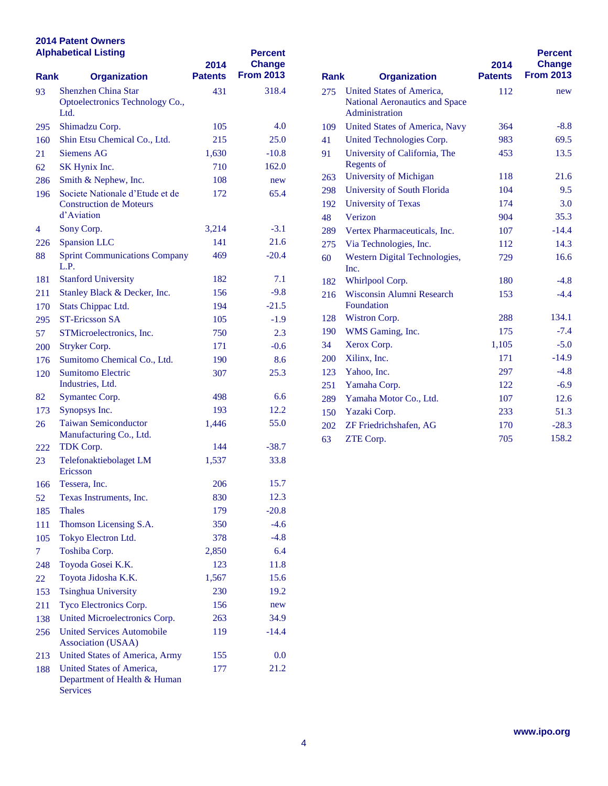## **2014 Patent Owners**

| <b>Alphabetical Listing</b> |                                                                              | 2014           | <b>Percent</b><br><b>Change</b> |           |                                                                                    |
|-----------------------------|------------------------------------------------------------------------------|----------------|---------------------------------|-----------|------------------------------------------------------------------------------------|
| <b>Rank</b>                 | <b>Organization</b>                                                          | <b>Patents</b> | <b>From 2013</b>                | Rank      | <b>Organization</b>                                                                |
| 93                          | <b>Shenzhen China Star</b><br>Optoelectronics Technology Co.,<br>Ltd.        | 431            | 318.4                           | 275       | <b>United States of Americ</b><br><b>National Aeronautics an</b><br>Administration |
| 295                         | Shimadzu Corp.                                                               | 105            | 4.0                             | 109       | <b>United States of Americ</b>                                                     |
| 160                         | Shin Etsu Chemical Co., Ltd.                                                 | 215            | 25.0                            | 41        | <b>United Technologies Co</b>                                                      |
| 21                          | <b>Siemens AG</b>                                                            | 1,630          | $-10.8$                         | 91        | University of California                                                           |
| 62                          | SK Hynix Inc.                                                                | 710            | 162.0                           |           | Regents of                                                                         |
| 286                         | Smith & Nephew, Inc.                                                         | 108            | new                             | 263       | University of Michigan                                                             |
| 196                         | Societe Nationale d'Etude et de                                              | 172            | 65.4                            | 298       | University of South Flor                                                           |
|                             | <b>Construction de Moteurs</b>                                               |                |                                 | 192       | <b>University of Texas</b>                                                         |
|                             | d'Aviation                                                                   |                |                                 | 48        | Verizon                                                                            |
| 4                           | Sony Corp.                                                                   | 3,214          | $-3.1$                          | 289       | Vertex Pharmaceuticals,                                                            |
| 226                         | <b>Spansion LLC</b>                                                          | 141            | 21.6                            | 275       | Via Technologies, Inc.                                                             |
| 88                          | <b>Sprint Communications Company</b><br>L.P.                                 | 469            | $-20.4$                         | 60        | <b>Western Digital Techno</b><br>Inc.                                              |
| 181                         | <b>Stanford University</b>                                                   | 182            | 7.1                             | 182       | Whirlpool Corp.                                                                    |
| 211                         | Stanley Black & Decker, Inc.                                                 | 156            | $-9.8$                          | 216       | <b>Wisconsin Alumni Rese</b>                                                       |
| 170                         | Stats Chippac Ltd.                                                           | 194            | $-21.5$                         |           | Foundation                                                                         |
| 295                         | <b>ST-Ericsson SA</b>                                                        | 105            | $-1.9$                          | 128       | Wistron Corp.                                                                      |
| 57                          | STMicroelectronics, Inc.                                                     | 750            | 2.3                             | 190       | WMS Gaming, Inc.                                                                   |
| 200                         | Stryker Corp.                                                                | 171            | $-0.6$                          | 34        | Xerox Corp.                                                                        |
| 176                         | Sumitomo Chemical Co., Ltd.                                                  | 190            | 8.6                             | 200       | Xilinx, Inc.                                                                       |
| 120                         | <b>Sumitomo Electric</b>                                                     | 307            | 25.3                            | 123       | Yahoo, Inc.                                                                        |
|                             | Industries, Ltd.                                                             |                |                                 | 251       | Yamaha Corp.                                                                       |
| 82                          | Symantec Corp.                                                               | 498            | 6.6                             | 289       | Yamaha Motor Co., Ltd                                                              |
| 173                         | Synopsys Inc.                                                                | 193            | 12.2                            | 150       | Yazaki Corp.                                                                       |
| 26                          | <b>Taiwan Semiconductor</b><br>Manufacturing Co., Ltd.                       | 1,446          | 55.0                            | 202<br>63 | ZF Friedrichshafen, AG<br>ZTE Corp.                                                |
| 222                         | TDK Corp.                                                                    | 144            | $-38.7$                         |           |                                                                                    |
| 23                          | Telefonaktiebolaget LM<br>Ericsson                                           | 1,537          | 33.8                            |           |                                                                                    |
| 166                         | Tessera, Inc.                                                                | 206            | 15.7                            |           |                                                                                    |
| 52                          | Texas Instruments, Inc.                                                      | 830            | 12.3                            |           |                                                                                    |
| 185                         | <b>Thales</b>                                                                | 179            | $-20.8$                         |           |                                                                                    |
| 111                         | Thomson Licensing S.A.                                                       | 350            | $-4.6$                          |           |                                                                                    |
| 105                         | Tokyo Electron Ltd.                                                          | 378            | $-4.8$                          |           |                                                                                    |
| $\tau$                      | Toshiba Corp.                                                                | 2,850          | 6.4                             |           |                                                                                    |
| 248                         | Toyoda Gosei K.K.                                                            | 123            | 11.8                            |           |                                                                                    |
| 22                          | Toyota Jidosha K.K.                                                          | 1,567          | 15.6                            |           |                                                                                    |
| 153                         | <b>Tsinghua University</b>                                                   | 230            | 19.2                            |           |                                                                                    |
| 211                         | Tyco Electronics Corp.                                                       | 156            | new                             |           |                                                                                    |
| 138                         | United Microelectronics Corp.                                                | 263            | 34.9                            |           |                                                                                    |
| 256                         | <b>United Services Automobile</b><br><b>Association (USAA)</b>               | 119            | $-14.4$                         |           |                                                                                    |
| 213                         | United States of America, Army                                               | 155            | 0.0                             |           |                                                                                    |
| 188                         | United States of America,<br>Department of Health & Human<br><b>Services</b> | 177            | 21.2                            |           |                                                                                    |

| <b>Rank</b><br><b>Organization</b> |                                                                               | 2014<br><b>Patents</b> | <b>Percent</b><br>Change<br><b>From 2013</b> |
|------------------------------------|-------------------------------------------------------------------------------|------------------------|----------------------------------------------|
| 275                                | United States of America.<br>National Aeronautics and Space<br>Administration | 112                    | new                                          |
| 109                                | <b>United States of America, Navy</b>                                         | 364                    | $-8.8$                                       |
| 41                                 | United Technologies Corp.                                                     | 983                    | 69.5                                         |
| 91                                 | University of California, The<br>Regents of                                   | 453                    | 13.5                                         |
| 263                                | University of Michigan                                                        | 118                    | 21.6                                         |
| 298                                | University of South Florida                                                   | 104                    | 9.5                                          |
| 192                                | <b>University of Texas</b>                                                    | 174                    | 3.0                                          |
| 48                                 | Verizon                                                                       | 904                    | 35.3                                         |
| 289                                | Vertex Pharmaceuticals, Inc.                                                  | 107                    | $-14.4$                                      |
| 275                                | Via Technologies, Inc.                                                        | 112                    | 14.3                                         |
| 60                                 | Western Digital Technologies,<br>Inc.                                         | 729                    | 16.6                                         |
| 182                                | Whirlpool Corp.                                                               | 180                    | $-4.8$                                       |
| 216                                | Wisconsin Alumni Research<br>Foundation                                       | 153                    | $-4.4$                                       |
| 128                                | Wistron Corp.                                                                 | 288                    | 134.1                                        |
| 190                                | WMS Gaming, Inc.                                                              | 175                    | $-7.4$                                       |
| 34                                 | Xerox Corp.                                                                   | 1,105                  | $-5.0$                                       |
| 200                                | Xilinx, Inc.                                                                  | 171                    | $-14.9$                                      |
| 123                                | Yahoo, Inc.                                                                   | 297                    | $-4.8$                                       |
| 251                                | Yamaha Corp.                                                                  | 122                    | $-6.9$                                       |
| 289                                | Yamaha Motor Co., Ltd.                                                        | 107                    | 12.6                                         |
| 150                                | Yazaki Corp.                                                                  | 233                    | 51.3                                         |
| 202                                | ZF Friedrichshafen, AG                                                        | 170                    | $-28.3$                                      |
| 63                                 | ZTE Corp.                                                                     | 705                    | 158.2                                        |